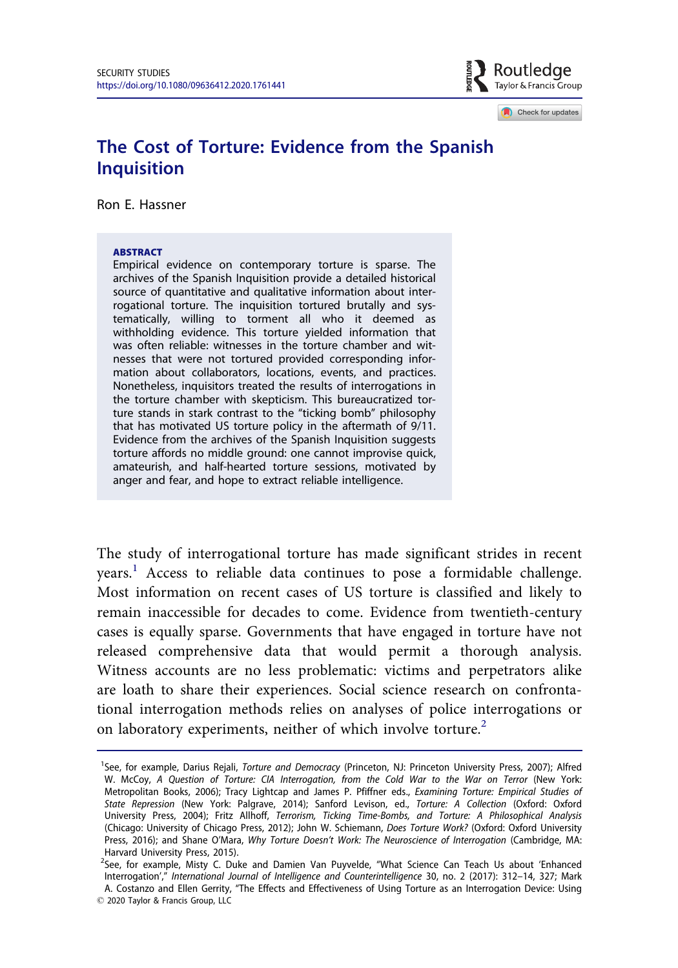

Check for updates

# The Cost of Torture: Evidence from the Spanish Inquisition

Ron E. Hassner

#### ABSTRACT

Empirical evidence on contemporary torture is sparse. The archives of the Spanish Inquisition provide a detailed historical source of quantitative and qualitative information about interrogational torture. The inquisition tortured brutally and systematically, willing to torment all who it deemed as withholding evidence. This torture yielded information that was often reliable: witnesses in the torture chamber and witnesses that were not tortured provided corresponding information about collaborators, locations, events, and practices. Nonetheless, inquisitors treated the results of interrogations in the torture chamber with skepticism. This bureaucratized torture stands in stark contrast to the "ticking bomb" philosophy that has motivated US torture policy in the aftermath of 9/11. Evidence from the archives of the Spanish Inquisition suggests torture affords no middle ground: one cannot improvise quick, amateurish, and half-hearted torture sessions, motivated by anger and fear, and hope to extract reliable intelligence.

The study of interrogational torture has made significant strides in recent years.<sup>1</sup> Access to reliable data continues to pose a formidable challenge. Most information on recent cases of US torture is classified and likely to remain inaccessible for decades to come. Evidence from twentieth-century cases is equally sparse. Governments that have engaged in torture have not released comprehensive data that would permit a thorough analysis. Witness accounts are no less problematic: victims and perpetrators alike are loath to share their experiences. Social science research on confrontational interrogation methods relies on analyses of police interrogations or on laboratory experiments, neither of which involve torture.<sup>2</sup>

<sup>&</sup>lt;sup>1</sup>See, for example, Darius Rejali, *Torture and Democracy* (Princeton, NJ: Princeton University Press, 2007); Alfred W. McCoy, A Question of Torture: CIA Interrogation, from the Cold War to the War on Terror (New York: Metropolitan Books, 2006); Tracy Lightcap and James P. Pfiffner eds., Examining Torture: Empirical Studies of State Repression (New York: Palgrave, 2014); Sanford Levison, ed., Torture: A Collection (Oxford: Oxford University Press, 2004); Fritz Allhoff, Terrorism, Ticking Time-Bombs, and Torture: A Philosophical Analysis (Chicago: University of Chicago Press, 2012); John W. Schiemann, Does Torture Work? (Oxford: Oxford University Press, 2016); and Shane O'Mara, Why Torture Doesn't Work: The Neuroscience of Interrogation (Cambridge, MA: Harvard University Press, 2015).

2020 Taylor & Francis Group, LLC <sup>2</sup>See, for example, Misty C. Duke and Damien Van Puyvelde, "What Science Can Teach Us about 'Enhanced Interrogation'," International Journal of Intelligence and Counterintelligence 30, no. 2 (2017): 312–14, 327; Mark A. Costanzo and Ellen Gerrity, "The Effects and Effectiveness of Using Torture as an Interrogation Device: Using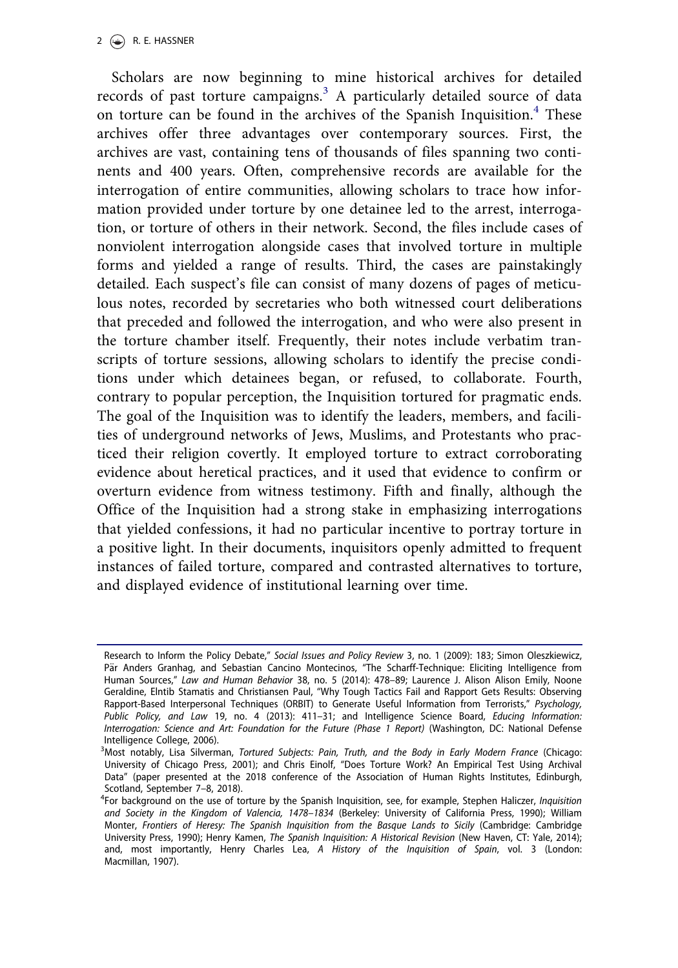Scholars are now beginning to mine historical archives for detailed records of past torture campaigns.<sup>3</sup> A particularly detailed source of data on torture can be found in the archives of the Spanish Inquisition.<sup>4</sup> These archives offer three advantages over contemporary sources. First, the archives are vast, containing tens of thousands of files spanning two continents and 400 years. Often, comprehensive records are available for the interrogation of entire communities, allowing scholars to trace how information provided under torture by one detainee led to the arrest, interrogation, or torture of others in their network. Second, the files include cases of nonviolent interrogation alongside cases that involved torture in multiple forms and yielded a range of results. Third, the cases are painstakingly detailed. Each suspect's file can consist of many dozens of pages of meticulous notes, recorded by secretaries who both witnessed court deliberations that preceded and followed the interrogation, and who were also present in the torture chamber itself. Frequently, their notes include verbatim transcripts of torture sessions, allowing scholars to identify the precise conditions under which detainees began, or refused, to collaborate. Fourth, contrary to popular perception, the Inquisition tortured for pragmatic ends. The goal of the Inquisition was to identify the leaders, members, and facilities of underground networks of Jews, Muslims, and Protestants who practiced their religion covertly. It employed torture to extract corroborating evidence about heretical practices, and it used that evidence to confirm or overturn evidence from witness testimony. Fifth and finally, although the Office of the Inquisition had a strong stake in emphasizing interrogations that yielded confessions, it had no particular incentive to portray torture in a positive light. In their documents, inquisitors openly admitted to frequent instances of failed torture, compared and contrasted alternatives to torture, and displayed evidence of institutional learning over time.

Research to Inform the Policy Debate," Social Issues and Policy Review 3, no. 1 (2009): 183; Simon Oleszkiewicz, Pär Anders Granhag, and Sebastian Cancino Montecinos, "The Scharff-Technique: Eliciting Intelligence from Human Sources," Law and Human Behavior 38, no. 5 (2014): 478–89; Laurence J. Alison Alison Emily, Noone Geraldine, Elntib Stamatis and Christiansen Paul, "Why Tough Tactics Fail and Rapport Gets Results: Observing Rapport-Based Interpersonal Techniques (ORBIT) to Generate Useful Information from Terrorists," Psychology, Public Policy, and Law 19, no. 4 (2013): 411–31; and Intelligence Science Board, Educing Information: Interrogation: Science and Art: Foundation for the Future (Phase 1 Report) (Washington, DC: National Defense Intelligence College, 2006).

<sup>&</sup>lt;sup>3</sup>Most notably, Lisa Silverman, Tortured Subjects: Pain, Truth, and the Body in Early Modern France (Chicago: University of Chicago Press, 2001); and Chris Einolf, "Does Torture Work? An Empirical Test Using Archival Data" (paper presented at the 2018 conference of the Association of Human Rights Institutes, Edinburgh, Scotland, September 7–8, 2018).

<sup>4</sup> For background on the use of torture by the Spanish Inquisition, see, for example, Stephen Haliczer, Inquisition and Society in the Kingdom of Valencia, 1478–1834 (Berkeley: University of California Press, 1990); William Monter, Frontiers of Heresy: The Spanish Inquisition from the Basque Lands to Sicily (Cambridge: Cambridge University Press, 1990); Henry Kamen, The Spanish Inquisition: A Historical Revision (New Haven, CT: Yale, 2014); and, most importantly, Henry Charles Lea, A History of the Inquisition of Spain, vol. 3 (London: Macmillan, 1907).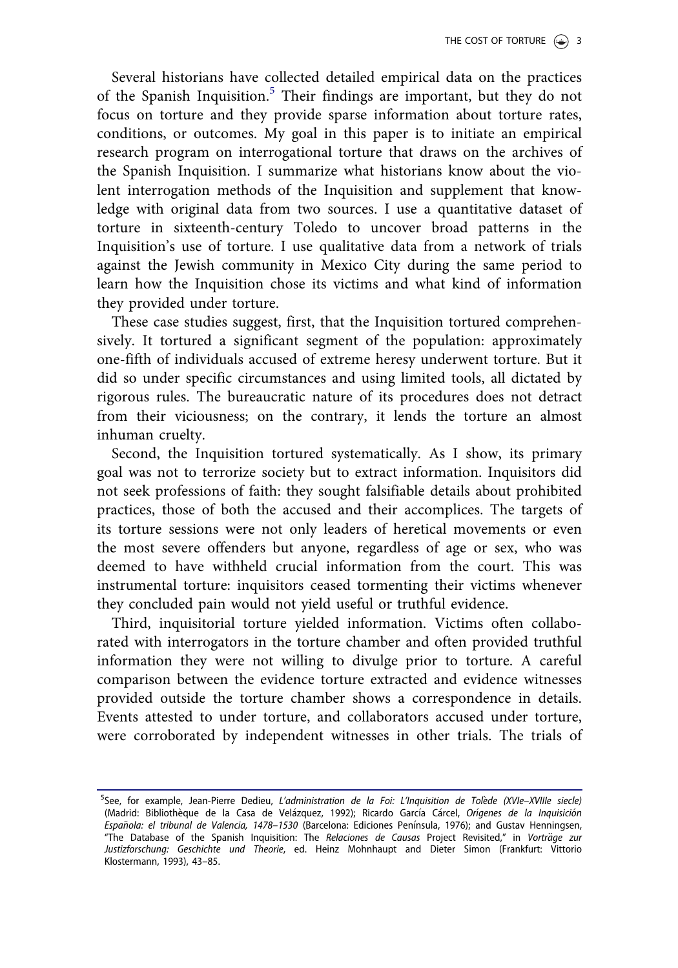Several historians have collected detailed empirical data on the practices of the Spanish Inquisition.<sup>5</sup> Their findings are important, but they do not focus on torture and they provide sparse information about torture rates, conditions, or outcomes. My goal in this paper is to initiate an empirical research program on interrogational torture that draws on the archives of the Spanish Inquisition. I summarize what historians know about the violent interrogation methods of the Inquisition and supplement that knowledge with original data from two sources. I use a quantitative dataset of torture in sixteenth-century Toledo to uncover broad patterns in the Inquisition's use of torture. I use qualitative data from a network of trials against the Jewish community in Mexico City during the same period to learn how the Inquisition chose its victims and what kind of information they provided under torture.

These case studies suggest, first, that the Inquisition tortured comprehensively. It tortured a significant segment of the population: approximately one-fifth of individuals accused of extreme heresy underwent torture. But it did so under specific circumstances and using limited tools, all dictated by rigorous rules. The bureaucratic nature of its procedures does not detract from their viciousness; on the contrary, it lends the torture an almost inhuman cruelty.

Second, the Inquisition tortured systematically. As I show, its primary goal was not to terrorize society but to extract information. Inquisitors did not seek professions of faith: they sought falsifiable details about prohibited practices, those of both the accused and their accomplices. The targets of its torture sessions were not only leaders of heretical movements or even the most severe offenders but anyone, regardless of age or sex, who was deemed to have withheld crucial information from the court. This was instrumental torture: inquisitors ceased tormenting their victims whenever they concluded pain would not yield useful or truthful evidence.

Third, inquisitorial torture yielded information. Victims often collaborated with interrogators in the torture chamber and often provided truthful information they were not willing to divulge prior to torture. A careful comparison between the evidence torture extracted and evidence witnesses provided outside the torture chamber shows a correspondence in details. Events attested to under torture, and collaborators accused under torture, were corroborated by independent witnesses in other trials. The trials of

<sup>&</sup>lt;sup>5</sup>See, for example, Jean-Pierre Dedieu, *L'administration de la Foi: L'Inquisition de Tolède (XVIe–XVIIIe siecle)* (Madrid: Bibliothèque de la Casa de Velázquez, 1992); Ricardo García Cárcel, Orígenes de la Inquisición Española: el tribunal de Valencia, 1478–1530 (Barcelona: Ediciones Península, 1976); and Gustav Henningsen, "The Database of the Spanish Inquisition: The Relaciones de Causas Project Revisited," in Vorträge zur Justizforschung: Geschichte und Theorie, ed. Heinz Mohnhaupt and Dieter Simon (Frankfurt: Vittorio Klostermann, 1993), 43–85.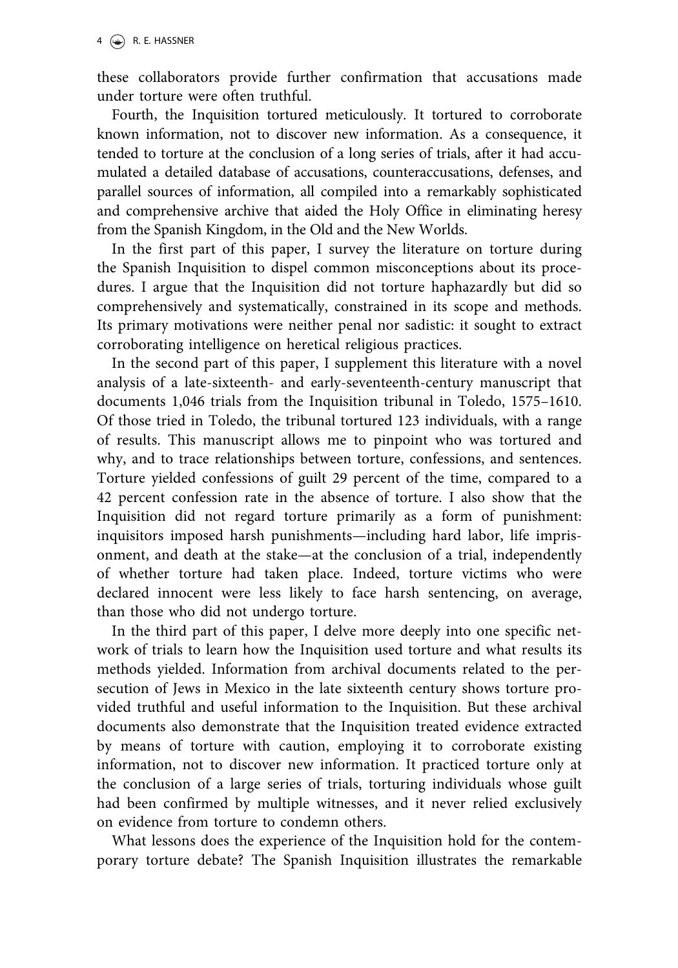these collaborators provide further confirmation that accusations made under torture were often truthful.

Fourth, the Inquisition tortured meticulously. It tortured to corroborate known information, not to discover new information. As a consequence, it tended to torture at the conclusion of a long series of trials, after it had accumulated a detailed database of accusations, counteraccusations, defenses, and parallel sources of information, all compiled into a remarkably sophisticated and comprehensive archive that aided the Holy Office in eliminating heresy from the Spanish Kingdom, in the Old and the New Worlds.

In the first part of this paper, I survey the literature on torture during the Spanish Inquisition to dispel common misconceptions about its procedures. I argue that the Inquisition did not torture haphazardly but did so comprehensively and systematically, constrained in its scope and methods. Its primary motivations were neither penal nor sadistic: it sought to extract corroborating intelligence on heretical religious practices.

In the second part of this paper, I supplement this literature with a novel analysis of a late-sixteenth- and early-seventeenth-century manuscript that documents 1,046 trials from the Inquisition tribunal in Toledo, 1575–1610. Of those tried in Toledo, the tribunal tortured 123 individuals, with a range of results. This manuscript allows me to pinpoint who was tortured and why, and to trace relationships between torture, confessions, and sentences. Torture yielded confessions of guilt 29 percent of the time, compared to a 42 percent confession rate in the absence of torture. I also show that the Inquisition did not regard torture primarily as a form of punishment: inquisitors imposed harsh punishments—including hard labor, life imprisonment, and death at the stake—at the conclusion of a trial, independently of whether torture had taken place. Indeed, torture victims who were declared innocent were less likely to face harsh sentencing, on average, than those who did not undergo torture.

In the third part of this paper, I delve more deeply into one specific network of trials to learn how the Inquisition used torture and what results its methods yielded. Information from archival documents related to the persecution of Jews in Mexico in the late sixteenth century shows torture provided truthful and useful information to the Inquisition. But these archival documents also demonstrate that the Inquisition treated evidence extracted by means of torture with caution, employing it to corroborate existing information, not to discover new information. It practiced torture only at the conclusion of a large series of trials, torturing individuals whose guilt had been confirmed by multiple witnesses, and it never relied exclusively on evidence from torture to condemn others.

What lessons does the experience of the Inquisition hold for the contemporary torture debate? The Spanish Inquisition illustrates the remarkable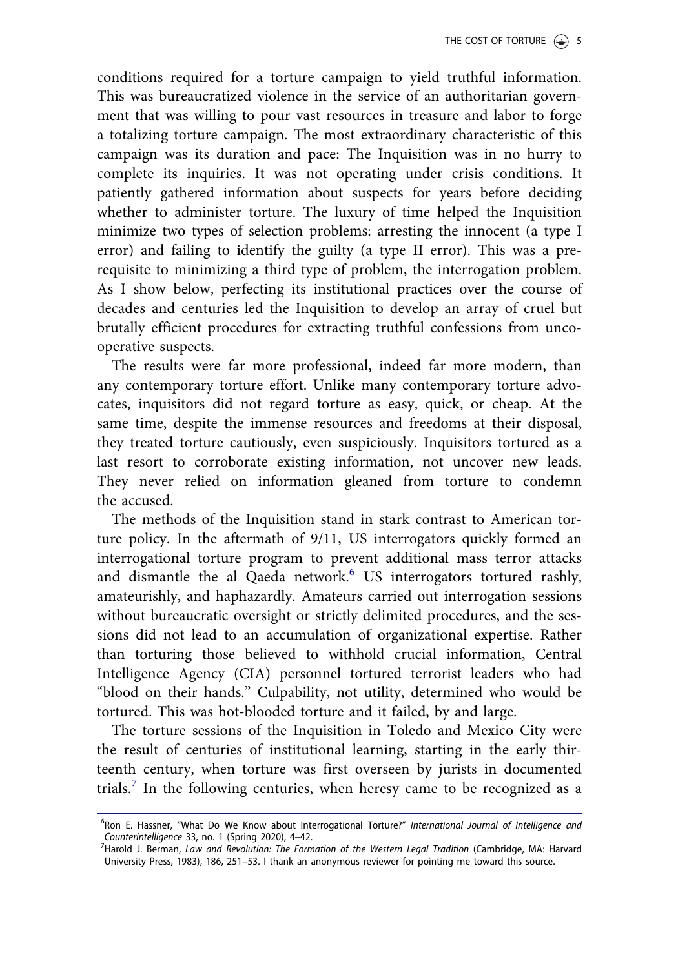conditions required for a torture campaign to yield truthful information. This was bureaucratized violence in the service of an authoritarian government that was willing to pour vast resources in treasure and labor to forge a totalizing torture campaign. The most extraordinary characteristic of this campaign was its duration and pace: The Inquisition was in no hurry to complete its inquiries. It was not operating under crisis conditions. It patiently gathered information about suspects for years before deciding whether to administer torture. The luxury of time helped the Inquisition minimize two types of selection problems: arresting the innocent (a type I error) and failing to identify the guilty (a type II error). This was a prerequisite to minimizing a third type of problem, the interrogation problem. As I show below, perfecting its institutional practices over the course of decades and centuries led the Inquisition to develop an array of cruel but brutally efficient procedures for extracting truthful confessions from uncooperative suspects.

The results were far more professional, indeed far more modern, than any contemporary torture effort. Unlike many contemporary torture advocates, inquisitors did not regard torture as easy, quick, or cheap. At the same time, despite the immense resources and freedoms at their disposal, they treated torture cautiously, even suspiciously. Inquisitors tortured as a last resort to corroborate existing information, not uncover new leads. They never relied on information gleaned from torture to condemn the accused.

The methods of the Inquisition stand in stark contrast to American torture policy. In the aftermath of 9/11, US interrogators quickly formed an interrogational torture program to prevent additional mass terror attacks and dismantle the al Qaeda network.<sup>6</sup> US interrogators tortured rashly, amateurishly, and haphazardly. Amateurs carried out interrogation sessions without bureaucratic oversight or strictly delimited procedures, and the sessions did not lead to an accumulation of organizational expertise. Rather than torturing those believed to withhold crucial information, Central Intelligence Agency (CIA) personnel tortured terrorist leaders who had "blood on their hands." Culpability, not utility, determined who would be tortured. This was hot-blooded torture and it failed, by and large.

The torture sessions of the Inquisition in Toledo and Mexico City were the result of centuries of institutional learning, starting in the early thirteenth century, when torture was first overseen by jurists in documented trials.<sup>7</sup> In the following centuries, when heresy came to be recognized as a

<sup>&</sup>lt;sup>6</sup>Ron E. Hassner, "What Do We Know about Interrogational Torture?" International Journal of Intelligence and Counterintelligence 33, no. 1 (Spring 2020), 4–42.

<sup>&</sup>lt;sup>7</sup> Harold J. Berman, Law and Revolution: The Formation of the Western Legal Tradition (Cambridge, MA: Harvard University Press, 1983), 186, 251–53. I thank an anonymous reviewer for pointing me toward this source.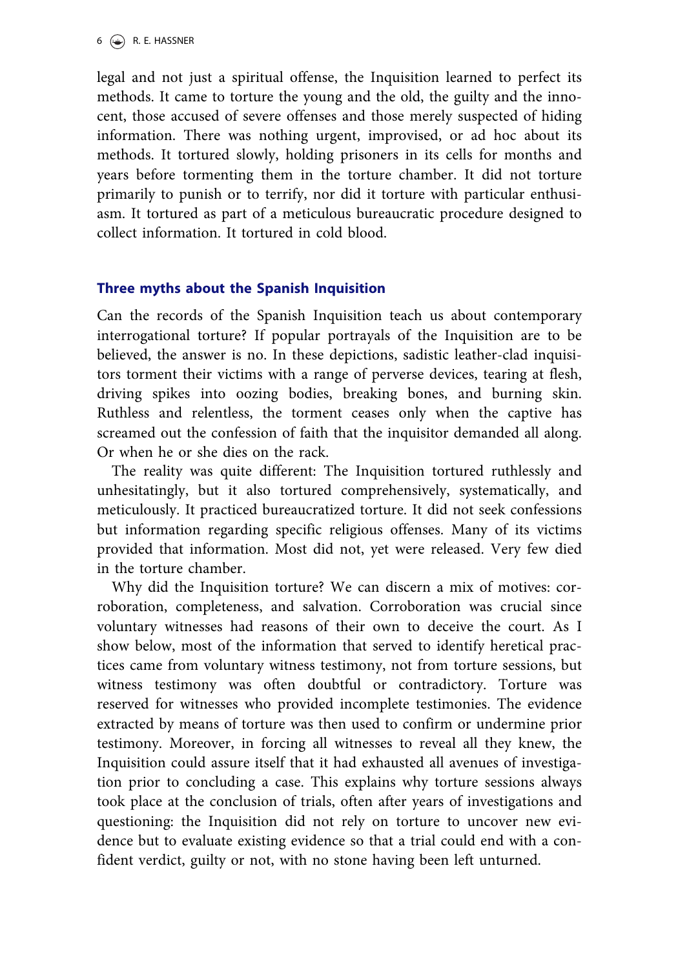legal and not just a spiritual offense, the Inquisition learned to perfect its methods. It came to torture the young and the old, the guilty and the innocent, those accused of severe offenses and those merely suspected of hiding information. There was nothing urgent, improvised, or ad hoc about its methods. It tortured slowly, holding prisoners in its cells for months and years before tormenting them in the torture chamber. It did not torture primarily to punish or to terrify, nor did it torture with particular enthusiasm. It tortured as part of a meticulous bureaucratic procedure designed to collect information. It tortured in cold blood.

#### Three myths about the Spanish Inquisition

Can the records of the Spanish Inquisition teach us about contemporary interrogational torture? If popular portrayals of the Inquisition are to be believed, the answer is no. In these depictions, sadistic leather-clad inquisitors torment their victims with a range of perverse devices, tearing at flesh, driving spikes into oozing bodies, breaking bones, and burning skin. Ruthless and relentless, the torment ceases only when the captive has screamed out the confession of faith that the inquisitor demanded all along. Or when he or she dies on the rack.

The reality was quite different: The Inquisition tortured ruthlessly and unhesitatingly, but it also tortured comprehensively, systematically, and meticulously. It practiced bureaucratized torture. It did not seek confessions but information regarding specific religious offenses. Many of its victims provided that information. Most did not, yet were released. Very few died in the torture chamber.

Why did the Inquisition torture? We can discern a mix of motives: corroboration, completeness, and salvation. Corroboration was crucial since voluntary witnesses had reasons of their own to deceive the court. As I show below, most of the information that served to identify heretical practices came from voluntary witness testimony, not from torture sessions, but witness testimony was often doubtful or contradictory. Torture was reserved for witnesses who provided incomplete testimonies. The evidence extracted by means of torture was then used to confirm or undermine prior testimony. Moreover, in forcing all witnesses to reveal all they knew, the Inquisition could assure itself that it had exhausted all avenues of investigation prior to concluding a case. This explains why torture sessions always took place at the conclusion of trials, often after years of investigations and questioning: the Inquisition did not rely on torture to uncover new evidence but to evaluate existing evidence so that a trial could end with a confident verdict, guilty or not, with no stone having been left unturned.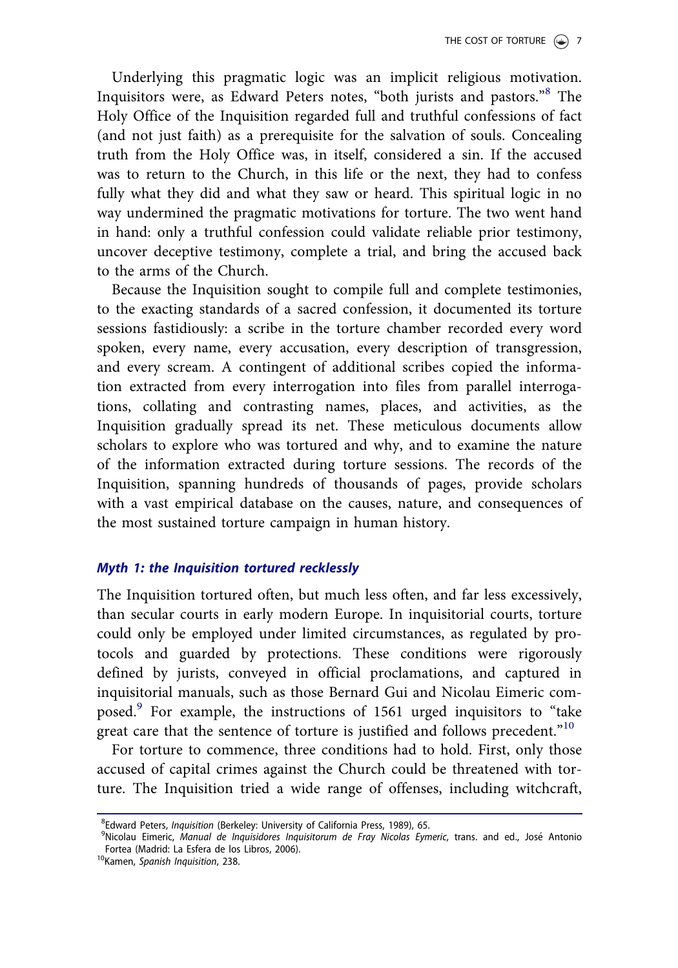Underlying this pragmatic logic was an implicit religious motivation. Inquisitors were, as Edward Peters notes, "both jurists and pastors." 8 The Holy Office of the Inquisition regarded full and truthful confessions of fact (and not just faith) as a prerequisite for the salvation of souls. Concealing truth from the Holy Office was, in itself, considered a sin. If the accused was to return to the Church, in this life or the next, they had to confess fully what they did and what they saw or heard. This spiritual logic in no way undermined the pragmatic motivations for torture. The two went hand in hand: only a truthful confession could validate reliable prior testimony, uncover deceptive testimony, complete a trial, and bring the accused back to the arms of the Church.

Because the Inquisition sought to compile full and complete testimonies, to the exacting standards of a sacred confession, it documented its torture sessions fastidiously: a scribe in the torture chamber recorded every word spoken, every name, every accusation, every description of transgression, and every scream. A contingent of additional scribes copied the information extracted from every interrogation into files from parallel interrogations, collating and contrasting names, places, and activities, as the Inquisition gradually spread its net. These meticulous documents allow scholars to explore who was tortured and why, and to examine the nature of the information extracted during torture sessions. The records of the Inquisition, spanning hundreds of thousands of pages, provide scholars with a vast empirical database on the causes, nature, and consequences of the most sustained torture campaign in human history.

#### Myth 1: the Inquisition tortured recklessly

The Inquisition tortured often, but much less often, and far less excessively, than secular courts in early modern Europe. In inquisitorial courts, torture could only be employed under limited circumstances, as regulated by protocols and guarded by protections. These conditions were rigorously defined by jurists, conveyed in official proclamations, and captured in inquisitorial manuals, such as those Bernard Gui and Nicolau Eimeric composed.<sup>9</sup> For example, the instructions of 1561 urged inquisitors to "take great care that the sentence of torture is justified and follows precedent."<sup>10</sup>

For torture to commence, three conditions had to hold. First, only those accused of capital crimes against the Church could be threatened with torture. The Inquisition tried a wide range of offenses, including witchcraft,

<sup>&</sup>lt;sup>8</sup>Edward Peters, *Inquisition* (Berkeley: University of California Press, 1989), 65.

<sup>&</sup>lt;sup>9</sup>Nicolau Eimeric, Manual de Inquisidores Inquisitorum de Fray Nicolas Eymeric, trans. and ed., José Antonio Fortea (Madrid: La Esfera de los Libros, 2006).

<sup>&</sup>lt;sup>10</sup>Kamen, Spanish Inquisition, 238.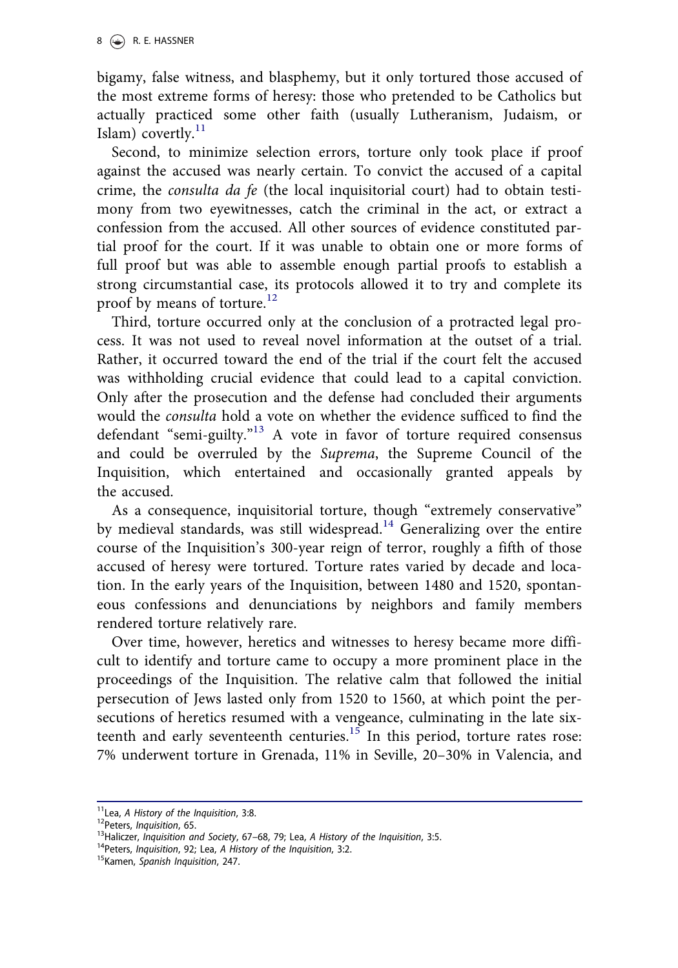bigamy, false witness, and blasphemy, but it only tortured those accused of the most extreme forms of heresy: those who pretended to be Catholics but actually practiced some other faith (usually Lutheranism, Judaism, or Islam) covertly. $11$ 

Second, to minimize selection errors, torture only took place if proof against the accused was nearly certain. To convict the accused of a capital crime, the consulta da fe (the local inquisitorial court) had to obtain testimony from two eyewitnesses, catch the criminal in the act, or extract a confession from the accused. All other sources of evidence constituted partial proof for the court. If it was unable to obtain one or more forms of full proof but was able to assemble enough partial proofs to establish a strong circumstantial case, its protocols allowed it to try and complete its proof by means of torture.<sup>12</sup>

Third, torture occurred only at the conclusion of a protracted legal process. It was not used to reveal novel information at the outset of a trial. Rather, it occurred toward the end of the trial if the court felt the accused was withholding crucial evidence that could lead to a capital conviction. Only after the prosecution and the defense had concluded their arguments would the consulta hold a vote on whether the evidence sufficed to find the defendant "semi-guilty."<sup>13</sup> A vote in favor of torture required consensus and could be overruled by the Suprema, the Supreme Council of the Inquisition, which entertained and occasionally granted appeals by the accused.

As a consequence, inquisitorial torture, though "extremely conservative" by medieval standards, was still widespread.<sup>14</sup> Generalizing over the entire course of the Inquisition's 300-year reign of terror, roughly a fifth of those accused of heresy were tortured. Torture rates varied by decade and location. In the early years of the Inquisition, between 1480 and 1520, spontaneous confessions and denunciations by neighbors and family members rendered torture relatively rare.

Over time, however, heretics and witnesses to heresy became more difficult to identify and torture came to occupy a more prominent place in the proceedings of the Inquisition. The relative calm that followed the initial persecution of Jews lasted only from 1520 to 1560, at which point the persecutions of heretics resumed with a vengeance, culminating in the late sixteenth and early seventeenth centuries.<sup>15</sup> In this period, torture rates rose: 7% underwent torture in Grenada, 11% in Seville, 20–30% in Valencia, and

<sup>&</sup>lt;sup>11</sup> Lea, A History of the Inquisition, 3:8.

<sup>&</sup>lt;sup>12</sup>Peters, Inquisition, 65.

<sup>&</sup>lt;sup>13</sup>Haliczer, Inquisition and Society, 67-68, 79; Lea, A History of the Inquisition, 3:5.

<sup>&</sup>lt;sup>14</sup>Peters, *Inquisition*, 92; Lea, A History of the Inquisition, 3:2.

<sup>&</sup>lt;sup>15</sup>Kamen, Spanish Inquisition, 247.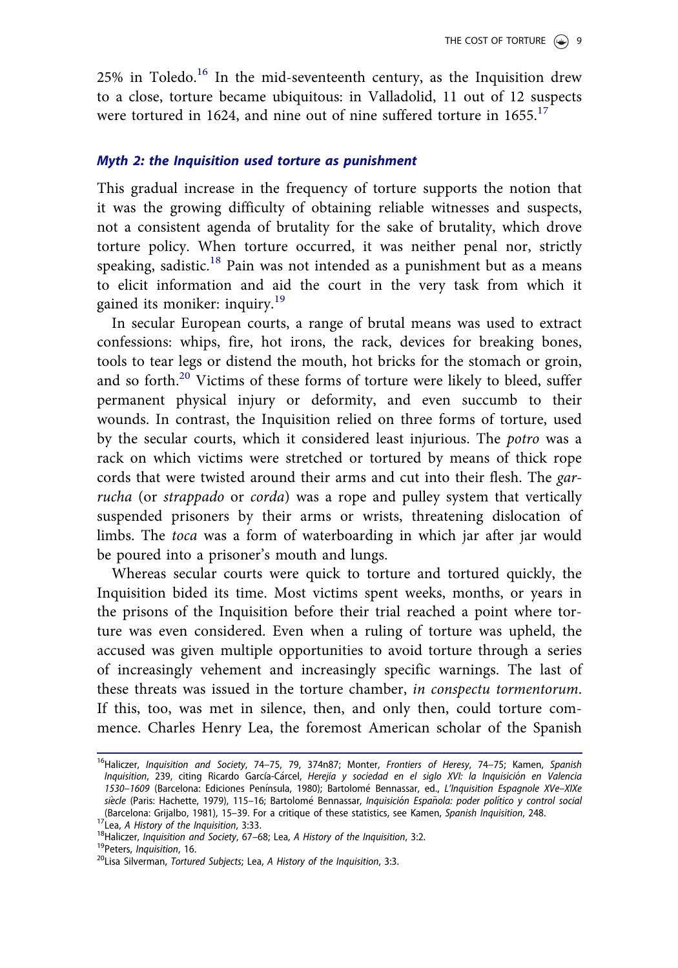25% in Toledo.<sup>16</sup> In the mid-seventeenth century, as the Inquisition drew to a close, torture became ubiquitous: in Valladolid, 11 out of 12 suspects were tortured in 1624, and nine out of nine suffered torture in  $1655$ <sup>17</sup>

#### Myth 2: the Inquisition used torture as punishment

This gradual increase in the frequency of torture supports the notion that it was the growing difficulty of obtaining reliable witnesses and suspects, not a consistent agenda of brutality for the sake of brutality, which drove torture policy. When torture occurred, it was neither penal nor, strictly speaking, sadistic.<sup>18</sup> Pain was not intended as a punishment but as a means to elicit information and aid the court in the very task from which it gained its moniker: inquiry.<sup>19</sup>

In secular European courts, a range of brutal means was used to extract confessions: whips, fire, hot irons, the rack, devices for breaking bones, tools to tear legs or distend the mouth, hot bricks for the stomach or groin, and so forth.<sup>20</sup> Victims of these forms of torture were likely to bleed, suffer permanent physical injury or deformity, and even succumb to their wounds. In contrast, the Inquisition relied on three forms of torture, used by the secular courts, which it considered least injurious. The potro was a rack on which victims were stretched or tortured by means of thick rope cords that were twisted around their arms and cut into their flesh. The garrucha (or strappado or corda) was a rope and pulley system that vertically suspended prisoners by their arms or wrists, threatening dislocation of limbs. The toca was a form of waterboarding in which jar after jar would be poured into a prisoner's mouth and lungs.

Whereas secular courts were quick to torture and tortured quickly, the Inquisition bided its time. Most victims spent weeks, months, or years in the prisons of the Inquisition before their trial reached a point where torture was even considered. Even when a ruling of torture was upheld, the accused was given multiple opportunities to avoid torture through a series of increasingly vehement and increasingly specific warnings. The last of these threats was issued in the torture chamber, in conspectu tormentorum. If this, too, was met in silence, then, and only then, could torture commence. Charles Henry Lea, the foremost American scholar of the Spanish

<sup>&</sup>lt;sup>16</sup>Haliczer, Inquisition and Society, 74-75, 79, 374n87; Monter, Frontiers of Heresy, 74-75; Kamen, Spanish Inquisition, 239, citing Ricardo García-Cárcel, Herejía y sociedad en el siglo XVI: la Inquisición en Valencia 1530–1609 (Barcelona: Ediciones Penınsula, 1980); Bartolome Bennassar, ed., L'Inquisition Espagnole XVe–XIXe siècle (Paris: Hachette, 1979), 115-16; Bartolomé Bennassar, Inquisición Española: poder político y control social (Barcelona: Grijalbo, 1981), 15–39. For a critique of these statistics, see Kamen, Spanish Inquisition, 248.

<sup>&</sup>lt;sup>17</sup>Lea, A History of the Inquisition, 3:33.

<sup>18</sup>Haliczer, Inquisition and Society, 67-68; Lea, A History of the Inquisition, 3:2.

<sup>&</sup>lt;sup>19</sup>Peters, *Inquisition*, 16.

<sup>&</sup>lt;sup>20</sup>Lisa Silverman, Tortured Subjects; Lea, A History of the Inquisition, 3:3.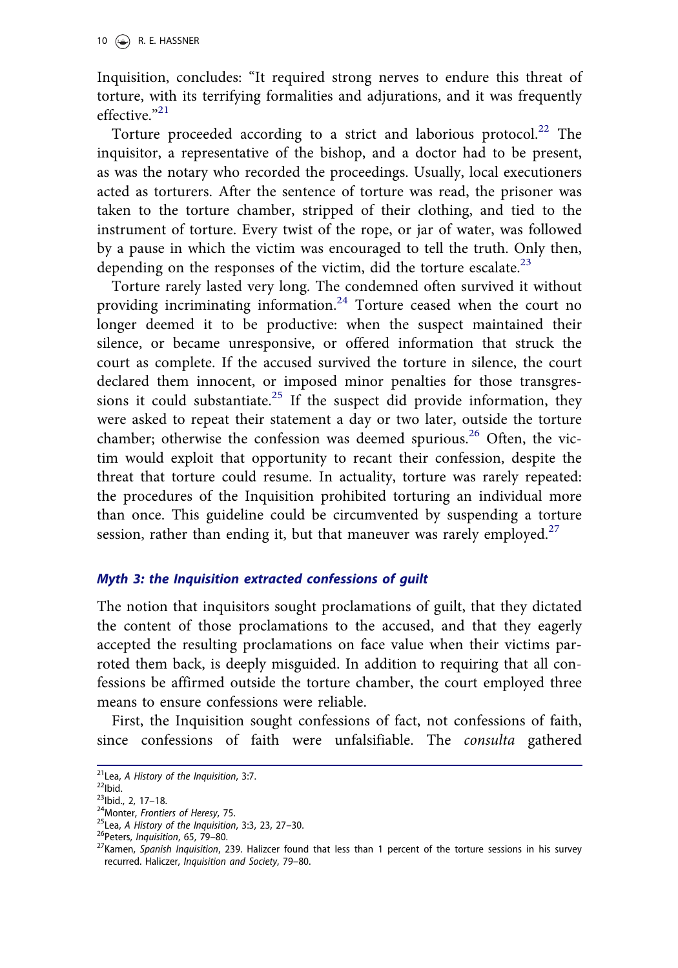Inquisition, concludes: "It required strong nerves to endure this threat of torture, with its terrifying formalities and adjurations, and it was frequently effective."21

Torture proceeded according to a strict and laborious protocol.<sup>22</sup> The inquisitor, a representative of the bishop, and a doctor had to be present, as was the notary who recorded the proceedings. Usually, local executioners acted as torturers. After the sentence of torture was read, the prisoner was taken to the torture chamber, stripped of their clothing, and tied to the instrument of torture. Every twist of the rope, or jar of water, was followed by a pause in which the victim was encouraged to tell the truth. Only then, depending on the responses of the victim, did the torture escalate.<sup>23</sup>

Torture rarely lasted very long. The condemned often survived it without providing incriminating information. $24$  Torture ceased when the court no longer deemed it to be productive: when the suspect maintained their silence, or became unresponsive, or offered information that struck the court as complete. If the accused survived the torture in silence, the court declared them innocent, or imposed minor penalties for those transgressions it could substantiate.<sup>25</sup> If the suspect did provide information, they were asked to repeat their statement a day or two later, outside the torture chamber; otherwise the confession was deemed spurious.<sup>26</sup> Often, the victim would exploit that opportunity to recant their confession, despite the threat that torture could resume. In actuality, torture was rarely repeated: the procedures of the Inquisition prohibited torturing an individual more than once. This guideline could be circumvented by suspending a torture session, rather than ending it, but that maneuver was rarely employed. $27$ 

### Myth 3: the Inquisition extracted confessions of guilt

The notion that inquisitors sought proclamations of guilt, that they dictated the content of those proclamations to the accused, and that they eagerly accepted the resulting proclamations on face value when their victims parroted them back, is deeply misguided. In addition to requiring that all confessions be affirmed outside the torture chamber, the court employed three means to ensure confessions were reliable.

First, the Inquisition sought confessions of fact, not confessions of faith, since confessions of faith were unfalsifiable. The *consulta* gathered

<sup>21</sup>Lea, A History of the Inquisition, 3:7.

 $22$ Ibid.

<sup>23</sup>Ibid., 2, 17–18.

<sup>&</sup>lt;sup>24</sup>Monter, Frontiers of Heresy, 75.

 $^{25}$ Lea, A History of the Inquisition, 3:3, 23, 27-30.

<sup>&</sup>lt;sup>26</sup>Peters, Inquisition, 65, 79-80.

 $27$ Kamen, Spanish Inquisition, 239. Halizcer found that less than 1 percent of the torture sessions in his survey recurred. Haliczer, Inquisition and Society, 79–80.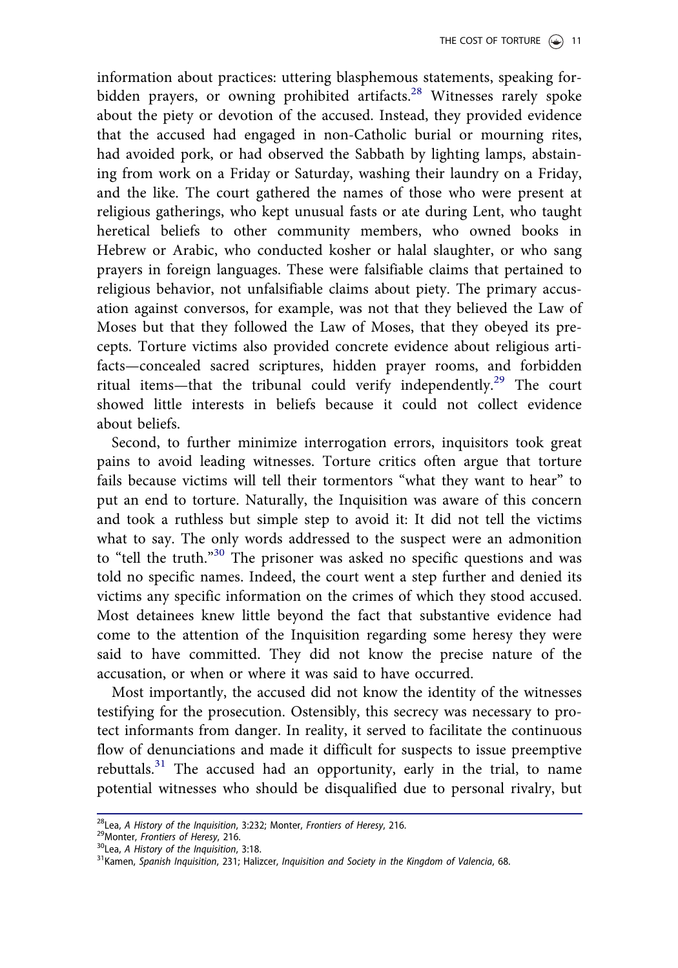information about practices: uttering blasphemous statements, speaking forbidden prayers, or owning prohibited artifacts.<sup>28</sup> Witnesses rarely spoke about the piety or devotion of the accused. Instead, they provided evidence that the accused had engaged in non-Catholic burial or mourning rites, had avoided pork, or had observed the Sabbath by lighting lamps, abstaining from work on a Friday or Saturday, washing their laundry on a Friday, and the like. The court gathered the names of those who were present at religious gatherings, who kept unusual fasts or ate during Lent, who taught heretical beliefs to other community members, who owned books in Hebrew or Arabic, who conducted kosher or halal slaughter, or who sang prayers in foreign languages. These were falsifiable claims that pertained to religious behavior, not unfalsifiable claims about piety. The primary accusation against conversos, for example, was not that they believed the Law of Moses but that they followed the Law of Moses, that they obeyed its precepts. Torture victims also provided concrete evidence about religious artifacts—concealed sacred scriptures, hidden prayer rooms, and forbidden ritual items—that the tribunal could verify independently.<sup>29</sup> The court showed little interests in beliefs because it could not collect evidence about beliefs.

Second, to further minimize interrogation errors, inquisitors took great pains to avoid leading witnesses. Torture critics often argue that torture fails because victims will tell their tormentors "what they want to hear" to put an end to torture. Naturally, the Inquisition was aware of this concern and took a ruthless but simple step to avoid it: It did not tell the victims what to say. The only words addressed to the suspect were an admonition to "tell the truth."<sup>30</sup> The prisoner was asked no specific questions and was told no specific names. Indeed, the court went a step further and denied its victims any specific information on the crimes of which they stood accused. Most detainees knew little beyond the fact that substantive evidence had come to the attention of the Inquisition regarding some heresy they were said to have committed. They did not know the precise nature of the accusation, or when or where it was said to have occurred.

Most importantly, the accused did not know the identity of the witnesses testifying for the prosecution. Ostensibly, this secrecy was necessary to protect informants from danger. In reality, it served to facilitate the continuous flow of denunciations and made it difficult for suspects to issue preemptive rebuttals.<sup>31</sup> The accused had an opportunity, early in the trial, to name potential witnesses who should be disqualified due to personal rivalry, but

<sup>&</sup>lt;sup>28</sup>Lea, A History of the Inquisition, 3:232; Monter, Frontiers of Heresy, 216.

<sup>&</sup>lt;sup>29</sup>Monter, Frontiers of Heresy, 216.

<sup>&</sup>lt;sup>30</sup>Lea, A History of the Inquisition, 3:18.

<sup>&</sup>lt;sup>31</sup>Kamen, Spanish Inquisition, 231; Halizcer, Inquisition and Society in the Kingdom of Valencia, 68.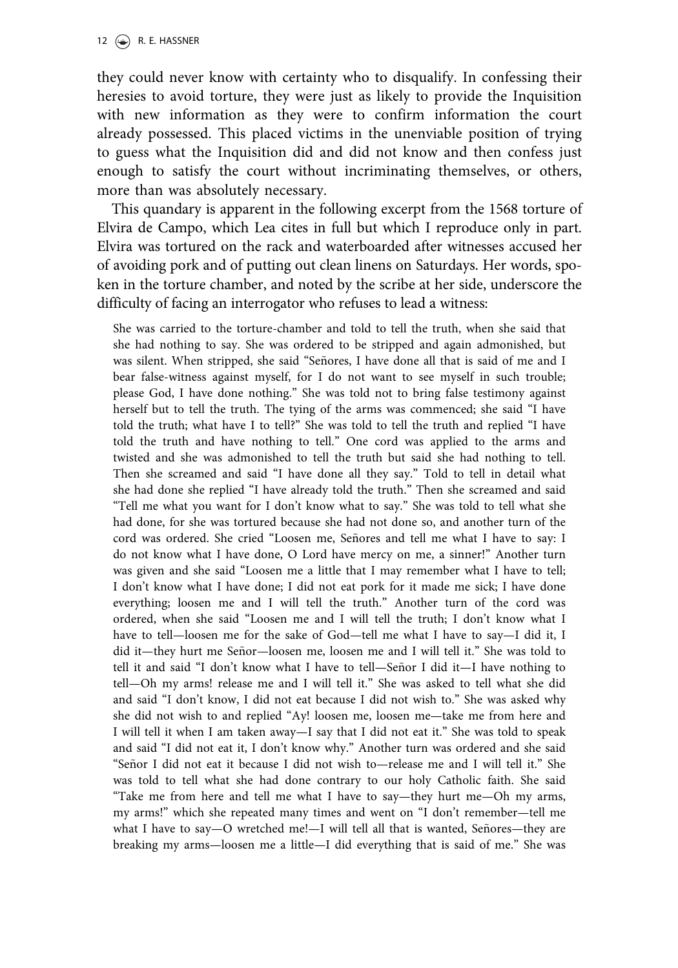they could never know with certainty who to disqualify. In confessing their heresies to avoid torture, they were just as likely to provide the Inquisition with new information as they were to confirm information the court already possessed. This placed victims in the unenviable position of trying to guess what the Inquisition did and did not know and then confess just enough to satisfy the court without incriminating themselves, or others, more than was absolutely necessary.

This quandary is apparent in the following excerpt from the 1568 torture of Elvira de Campo, which Lea cites in full but which I reproduce only in part. Elvira was tortured on the rack and waterboarded after witnesses accused her of avoiding pork and of putting out clean linens on Saturdays. Her words, spoken in the torture chamber, and noted by the scribe at her side, underscore the difficulty of facing an interrogator who refuses to lead a witness:

She was carried to the torture-chamber and told to tell the truth, when she said that she had nothing to say. She was ordered to be stripped and again admonished, but was silent. When stripped, she said "Señores, I have done all that is said of me and I bear false-witness against myself, for I do not want to see myself in such trouble; please God, I have done nothing." She was told not to bring false testimony against herself but to tell the truth. The tying of the arms was commenced; she said "I have told the truth; what have I to tell?" She was told to tell the truth and replied "I have told the truth and have nothing to tell." One cord was applied to the arms and twisted and she was admonished to tell the truth but said she had nothing to tell. Then she screamed and said "I have done all they say." Told to tell in detail what she had done she replied "I have already told the truth." Then she screamed and said "Tell me what you want for I don't know what to say." She was told to tell what she had done, for she was tortured because she had not done so, and another turn of the cord was ordered. She cried "Loosen me, Señores and tell me what I have to say: I do not know what I have done, O Lord have mercy on me, a sinner!" Another turn was given and she said "Loosen me a little that I may remember what I have to tell; I don't know what I have done; I did not eat pork for it made me sick; I have done everything; loosen me and I will tell the truth." Another turn of the cord was ordered, when she said "Loosen me and I will tell the truth; I don't know what I have to tell—loosen me for the sake of God—tell me what I have to say—I did it, I did it—they hurt me Señor—loosen me, loosen me and I will tell it." She was told to tell it and said "I don't know what I have to tell-Señor I did it-I have nothing to tell—Oh my arms! release me and I will tell it." She was asked to tell what she did and said "I don't know, I did not eat because I did not wish to." She was asked why she did not wish to and replied "Ay! loosen me, loosen me—take me from here and I will tell it when I am taken away—I say that I did not eat it." She was told to speak and said "I did not eat it, I don't know why." Another turn was ordered and she said "Señor I did not eat it because I did not wish to-release me and I will tell it." She was told to tell what she had done contrary to our holy Catholic faith. She said "Take me from here and tell me what I have to say—they hurt me—Oh my arms, my arms!" which she repeated many times and went on "I don't remember—tell me what I have to say-O wretched me!-I will tell all that is wanted, Señores-they are breaking my arms—loosen me a little—I did everything that is said of me." She was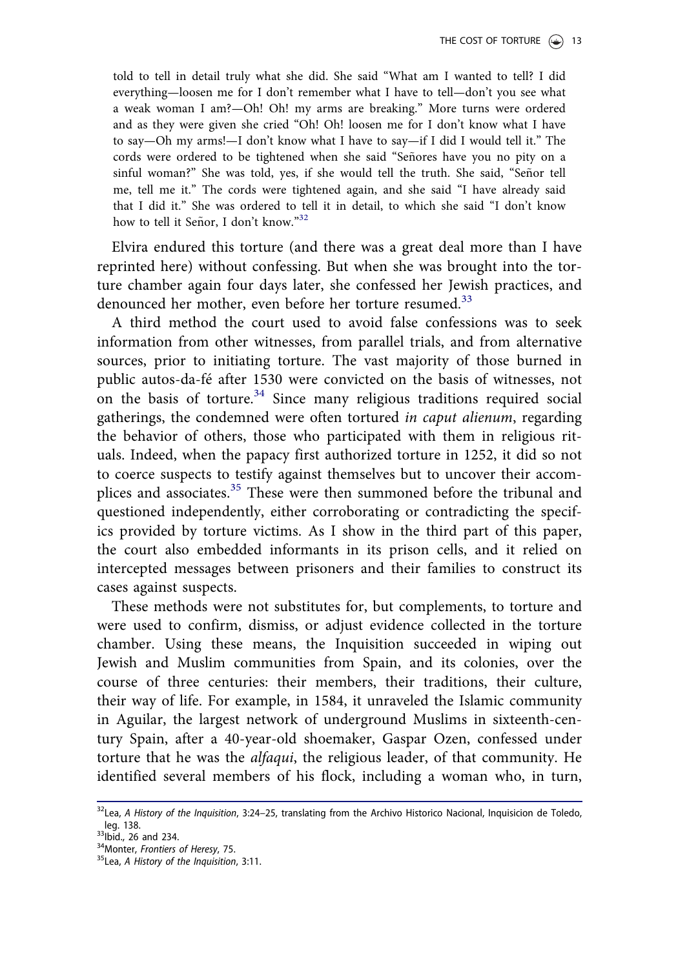told to tell in detail truly what she did. She said "What am I wanted to tell? I did everything—loosen me for I don't remember what I have to tell—don't you see what a weak woman I am?—Oh! Oh! my arms are breaking." More turns were ordered and as they were given she cried "Oh! Oh! loosen me for I don't know what I have to say—Oh my arms!—I don't know what I have to say—if I did I would tell it." The cords were ordered to be tightened when she said "Señores have you no pity on a sinful woman?" She was told, yes, if she would tell the truth. She said, "Señor tell me, tell me it." The cords were tightened again, and she said "I have already said that I did it." She was ordered to tell it in detail, to which she said "I don't know how to tell it Señor, I don't know."<sup>32</sup>

Elvira endured this torture (and there was a great deal more than I have reprinted here) without confessing. But when she was brought into the torture chamber again four days later, she confessed her Jewish practices, and denounced her mother, even before her torture resumed.<sup>33</sup>

A third method the court used to avoid false confessions was to seek information from other witnesses, from parallel trials, and from alternative sources, prior to initiating torture. The vast majority of those burned in public autos-da-fe after 1530 were convicted on the basis of witnesses, not on the basis of torture.<sup>34</sup> Since many religious traditions required social gatherings, the condemned were often tortured in caput alienum, regarding the behavior of others, those who participated with them in religious rituals. Indeed, when the papacy first authorized torture in 1252, it did so not to coerce suspects to testify against themselves but to uncover their accomplices and associates.<sup>35</sup> These were then summoned before the tribunal and questioned independently, either corroborating or contradicting the specifics provided by torture victims. As I show in the third part of this paper, the court also embedded informants in its prison cells, and it relied on intercepted messages between prisoners and their families to construct its cases against suspects.

These methods were not substitutes for, but complements, to torture and were used to confirm, dismiss, or adjust evidence collected in the torture chamber. Using these means, the Inquisition succeeded in wiping out Jewish and Muslim communities from Spain, and its colonies, over the course of three centuries: their members, their traditions, their culture, their way of life. For example, in 1584, it unraveled the Islamic community in Aguilar, the largest network of underground Muslims in sixteenth-century Spain, after a 40-year-old shoemaker, Gaspar Ozen, confessed under torture that he was the *alfaqui*, the religious leader, of that community. He identified several members of his flock, including a woman who, in turn,

 $32$ Lea, A History of the Inquisition, 3:24–25, translating from the Archivo Historico Nacional, Inquisicion de Toledo, leg. 138.

<sup>33&</sup>lt;sub>Ibid.</sub>, 26 and 234.

<sup>34</sup> Monter, Frontiers of Heresy, 75.

<sup>&</sup>lt;sup>35</sup>Lea, A History of the Inquisition, 3:11.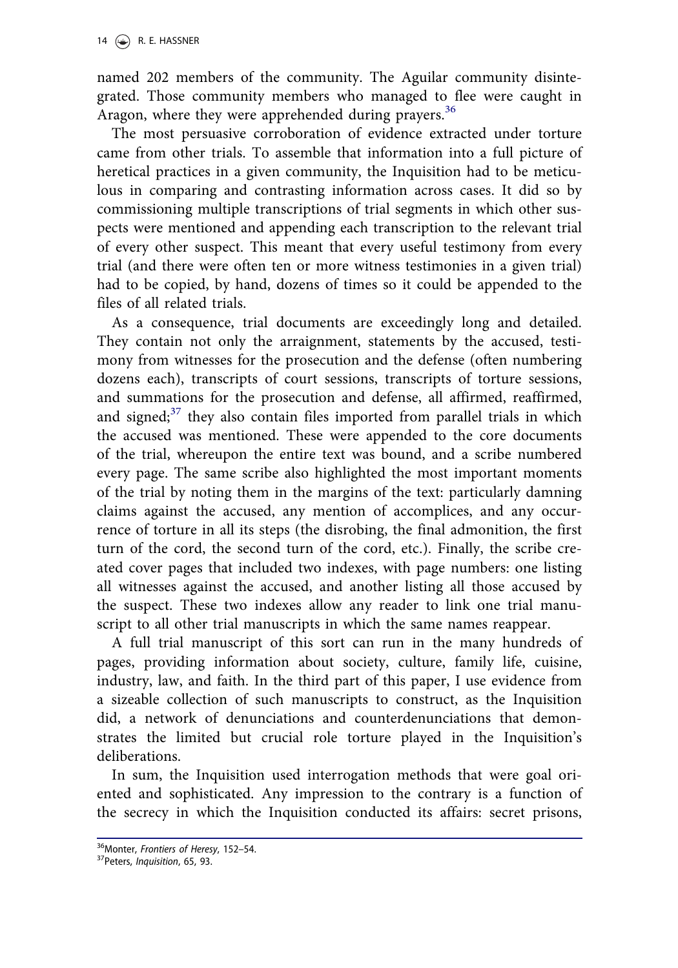named 202 members of the community. The Aguilar community disintegrated. Those community members who managed to flee were caught in Aragon, where they were apprehended during prayers.<sup>36</sup>

The most persuasive corroboration of evidence extracted under torture came from other trials. To assemble that information into a full picture of heretical practices in a given community, the Inquisition had to be meticulous in comparing and contrasting information across cases. It did so by commissioning multiple transcriptions of trial segments in which other suspects were mentioned and appending each transcription to the relevant trial of every other suspect. This meant that every useful testimony from every trial (and there were often ten or more witness testimonies in a given trial) had to be copied, by hand, dozens of times so it could be appended to the files of all related trials.

As a consequence, trial documents are exceedingly long and detailed. They contain not only the arraignment, statements by the accused, testimony from witnesses for the prosecution and the defense (often numbering dozens each), transcripts of court sessions, transcripts of torture sessions, and summations for the prosecution and defense, all affirmed, reaffirmed, and signed; $37$  they also contain files imported from parallel trials in which the accused was mentioned. These were appended to the core documents of the trial, whereupon the entire text was bound, and a scribe numbered every page. The same scribe also highlighted the most important moments of the trial by noting them in the margins of the text: particularly damning claims against the accused, any mention of accomplices, and any occurrence of torture in all its steps (the disrobing, the final admonition, the first turn of the cord, the second turn of the cord, etc.). Finally, the scribe created cover pages that included two indexes, with page numbers: one listing all witnesses against the accused, and another listing all those accused by the suspect. These two indexes allow any reader to link one trial manuscript to all other trial manuscripts in which the same names reappear.

A full trial manuscript of this sort can run in the many hundreds of pages, providing information about society, culture, family life, cuisine, industry, law, and faith. In the third part of this paper, I use evidence from a sizeable collection of such manuscripts to construct, as the Inquisition did, a network of denunciations and counterdenunciations that demonstrates the limited but crucial role torture played in the Inquisition's deliberations.

In sum, the Inquisition used interrogation methods that were goal oriented and sophisticated. Any impression to the contrary is a function of the secrecy in which the Inquisition conducted its affairs: secret prisons,

<sup>&</sup>lt;sup>36</sup>Monter, Frontiers of Heresy, 152-54.

<sup>&</sup>lt;sup>37</sup>Peters, Inquisition, 65, 93.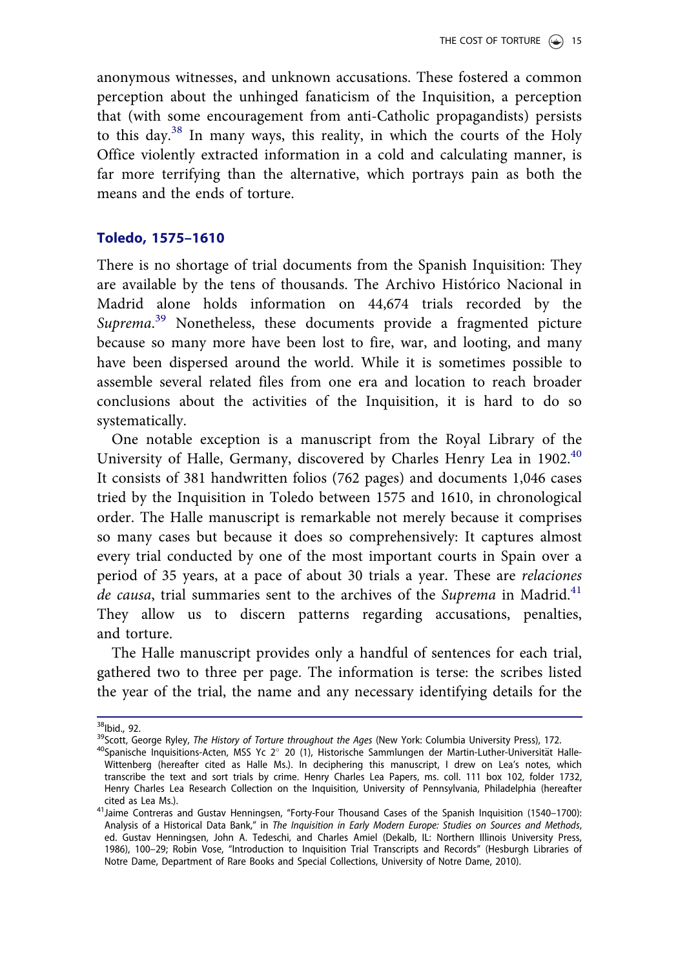anonymous witnesses, and unknown accusations. These fostered a common perception about the unhinged fanaticism of the Inquisition, a perception that (with some encouragement from anti-Catholic propagandists) persists to this day.<sup>38</sup> In many ways, this reality, in which the courts of the Holy Office violently extracted information in a cold and calculating manner, is far more terrifying than the alternative, which portrays pain as both the means and the ends of torture.

#### Toledo, 1575–1610

There is no shortage of trial documents from the Spanish Inquisition: They are available by the tens of thousands. The Archivo Histórico Nacional in Madrid alone holds information on 44,674 trials recorded by the Suprema.<sup>39</sup> Nonetheless, these documents provide a fragmented picture because so many more have been lost to fire, war, and looting, and many have been dispersed around the world. While it is sometimes possible to assemble several related files from one era and location to reach broader conclusions about the activities of the Inquisition, it is hard to do so systematically.

One notable exception is a manuscript from the Royal Library of the University of Halle, Germany, discovered by Charles Henry Lea in 1902.<sup>40</sup> It consists of 381 handwritten folios (762 pages) and documents 1,046 cases tried by the Inquisition in Toledo between 1575 and 1610, in chronological order. The Halle manuscript is remarkable not merely because it comprises so many cases but because it does so comprehensively: It captures almost every trial conducted by one of the most important courts in Spain over a period of 35 years, at a pace of about 30 trials a year. These are relaciones de causa, trial summaries sent to the archives of the Suprema in Madrid. $41$ They allow us to discern patterns regarding accusations, penalties, and torture.

The Halle manuscript provides only a handful of sentences for each trial, gathered two to three per page. The information is terse: the scribes listed the year of the trial, the name and any necessary identifying details for the

<sup>38|</sup> bid., 92.

<sup>&</sup>lt;sup>39</sup>Scott, George Ryley, The History of Torture throughout the Ages (New York: Columbia University Press), 172.

<sup>&</sup>lt;sup>40</sup>Spanische Inquisitions-Acten, MSS Yc 2° 20 (1), Historische Sammlungen der Martin-Luther-Universität Halle-Wittenberg (hereafter cited as Halle Ms.). In deciphering this manuscript, I drew on Lea's notes, which transcribe the text and sort trials by crime. Henry Charles Lea Papers, ms. coll. 111 box 102, folder 1732, Henry Charles Lea Research Collection on the Inquisition, University of Pennsylvania, Philadelphia (hereafter cited as Lea Ms.).

<sup>41</sup>Jaime Contreras and Gustav Henningsen, "Forty-Four Thousand Cases of the Spanish Inquisition (1540–1700): Analysis of a Historical Data Bank," in The Inquisition in Early Modern Europe: Studies on Sources and Methods, ed. Gustav Henningsen, John A. Tedeschi, and Charles Amiel (Dekalb, IL: Northern Illinois University Press, 1986), 100–29; Robin Vose, "Introduction to Inquisition Trial Transcripts and Records" (Hesburgh Libraries of Notre Dame, Department of Rare Books and Special Collections, University of Notre Dame, 2010).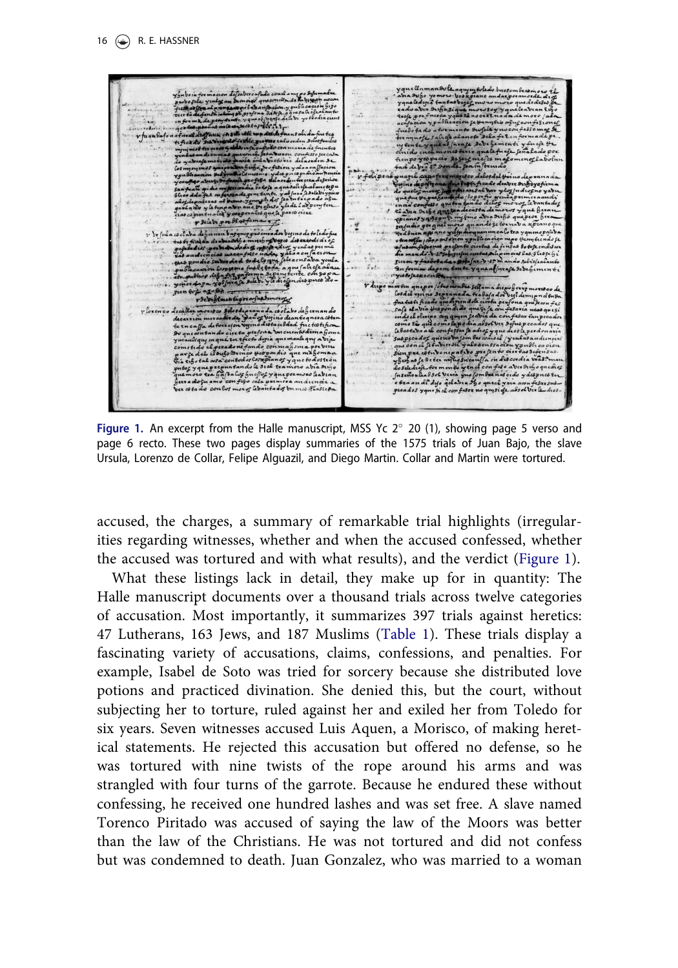

Figure 1. An excerpt from the Halle manuscript, MSS Yc  $2^{\circ}$  20 (1), showing page 5 verso and page 6 recto. These two pages display summaries of the 1575 trials of Juan Bajo, the slave Ursula, Lorenzo de Collar, Felipe Alguazil, and Diego Martin. Collar and Martin were tortured.

accused, the charges, a summary of remarkable trial highlights (irregularities regarding witnesses, whether and when the accused confessed, whether the accused was tortured and with what results), and the verdict (Figure 1).

What these listings lack in detail, they make up for in quantity: The Halle manuscript documents over a thousand trials across twelve categories of accusation. Most importantly, it summarizes 397 trials against heretics: 47 Lutherans, 163 Jews, and 187 Muslims (Table 1). These trials display a fascinating variety of accusations, claims, confessions, and penalties. For example, Isabel de Soto was tried for sorcery because she distributed love potions and practiced divination. She denied this, but the court, without subjecting her to torture, ruled against her and exiled her from Toledo for six years. Seven witnesses accused Luis Aquen, a Morisco, of making heretical statements. He rejected this accusation but offered no defense, so he was tortured with nine twists of the rope around his arms and was strangled with four turns of the garrote. Because he endured these without confessing, he received one hundred lashes and was set free. A slave named Torenco Piritado was accused of saying the law of the Moors was better than the law of the Christians. He was not tortured and did not confess but was condemned to death. Juan Gonzalez, who was married to a woman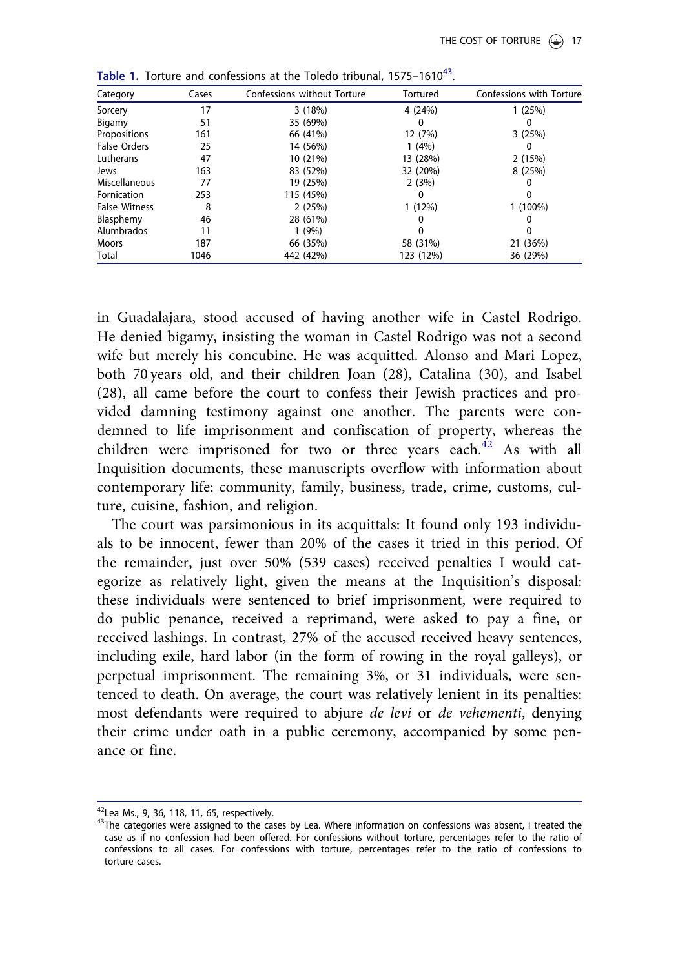| Category             | Cases | Confessions without Torture | Tortured  | Confessions with Torture |  |  |  |
|----------------------|-------|-----------------------------|-----------|--------------------------|--|--|--|
| Sorcery              | 17    | 3(18%)                      | 4 (24%)   | 1(25%)                   |  |  |  |
| Bigamy               | 51    | 35 (69%)                    | 0         | 0                        |  |  |  |
| Propositions         | 161   | 66 (41%)                    | 12 (7%)   | 3(25%)                   |  |  |  |
| <b>False Orders</b>  | 25    | 14 (56%)                    | 1(4%)     | 0                        |  |  |  |
| Lutherans            | 47    | 10 (21%)                    | 13 (28%)  | 2(15%)                   |  |  |  |
| Jews                 | 163   | 83 (52%)                    | 32 (20%)  | 8(25%)                   |  |  |  |
| Miscellaneous        | 77    | 19 (25%)                    | 2(3%)     |                          |  |  |  |
| Fornication          | 253   | 115 (45%)                   | 0         | 0                        |  |  |  |
| <b>False Witness</b> | 8     | 2(25%)                      | $1(12\%)$ | $1(100\%)$               |  |  |  |
| Blasphemy            | 46    | 28 (61%)                    |           |                          |  |  |  |
| Alumbrados           | 11    | 1(9%)                       |           |                          |  |  |  |
| <b>Moors</b>         | 187   | 66 (35%)                    | 58 (31%)  | 21 (36%)                 |  |  |  |
| Total                | 1046  | 442 (42%)                   | 123 (12%) | 36 (29%)                 |  |  |  |

Table 1. Torture and confessions at the Toledo tribunal, 1575–1610<sup>43</sup>.

in Guadalajara, stood accused of having another wife in Castel Rodrigo. He denied bigamy, insisting the woman in Castel Rodrigo was not a second wife but merely his concubine. He was acquitted. Alonso and Mari Lopez, both 70 years old, and their children Joan (28), Catalina (30), and Isabel (28), all came before the court to confess their Jewish practices and provided damning testimony against one another. The parents were condemned to life imprisonment and confiscation of property, whereas the children were imprisoned for two or three years each. $42$  As with all Inquisition documents, these manuscripts overflow with information about contemporary life: community, family, business, trade, crime, customs, culture, cuisine, fashion, and religion.

The court was parsimonious in its acquittals: It found only 193 individuals to be innocent, fewer than 20% of the cases it tried in this period. Of the remainder, just over 50% (539 cases) received penalties I would categorize as relatively light, given the means at the Inquisition's disposal: these individuals were sentenced to brief imprisonment, were required to do public penance, received a reprimand, were asked to pay a fine, or received lashings. In contrast, 27% of the accused received heavy sentences, including exile, hard labor (in the form of rowing in the royal galleys), or perpetual imprisonment. The remaining 3%, or 31 individuals, were sentenced to death. On average, the court was relatively lenient in its penalties: most defendants were required to abjure de levi or de vehementi, denying their crime under oath in a public ceremony, accompanied by some penance or fine.

 $42$ Lea Ms., 9, 36, 118, 11, 65, respectively.

 $^{43}$ The categories were assigned to the cases by Lea. Where information on confessions was absent, I treated the case as if no confession had been offered. For confessions without torture, percentages refer to the ratio of confessions to all cases. For confessions with torture, percentages refer to the ratio of confessions to torture cases.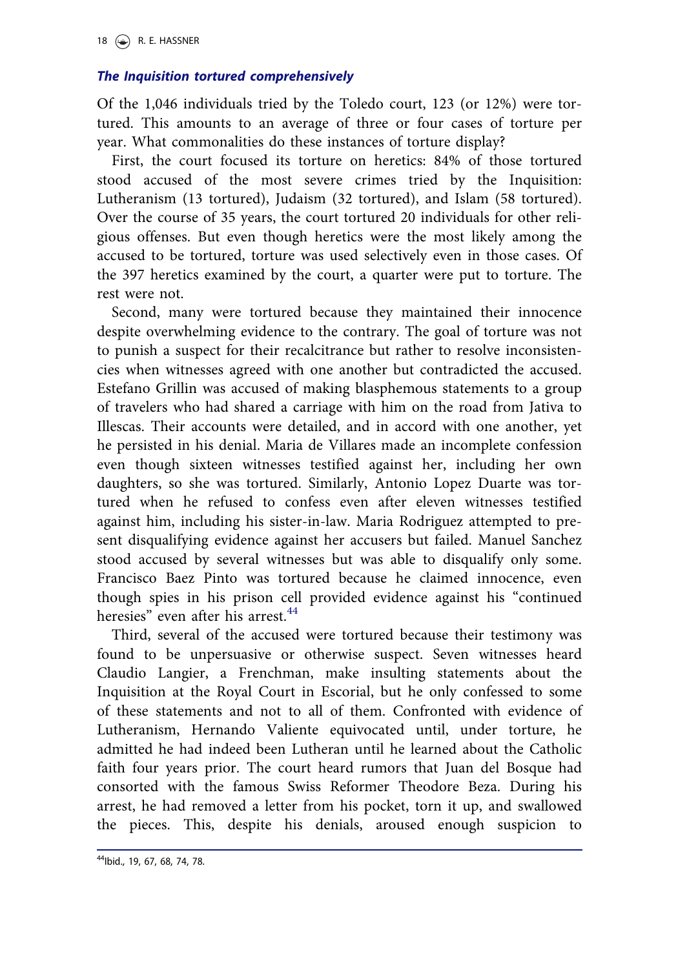## The Inquisition tortured comprehensively

Of the 1,046 individuals tried by the Toledo court, 123 (or 12%) were tortured. This amounts to an average of three or four cases of torture per year. What commonalities do these instances of torture display?

First, the court focused its torture on heretics: 84% of those tortured stood accused of the most severe crimes tried by the Inquisition: Lutheranism (13 tortured), Judaism (32 tortured), and Islam (58 tortured). Over the course of 35 years, the court tortured 20 individuals for other religious offenses. But even though heretics were the most likely among the accused to be tortured, torture was used selectively even in those cases. Of the 397 heretics examined by the court, a quarter were put to torture. The rest were not.

Second, many were tortured because they maintained their innocence despite overwhelming evidence to the contrary. The goal of torture was not to punish a suspect for their recalcitrance but rather to resolve inconsistencies when witnesses agreed with one another but contradicted the accused. Estefano Grillin was accused of making blasphemous statements to a group of travelers who had shared a carriage with him on the road from Jativa to Illescas. Their accounts were detailed, and in accord with one another, yet he persisted in his denial. Maria de Villares made an incomplete confession even though sixteen witnesses testified against her, including her own daughters, so she was tortured. Similarly, Antonio Lopez Duarte was tortured when he refused to confess even after eleven witnesses testified against him, including his sister-in-law. Maria Rodriguez attempted to present disqualifying evidence against her accusers but failed. Manuel Sanchez stood accused by several witnesses but was able to disqualify only some. Francisco Baez Pinto was tortured because he claimed innocence, even though spies in his prison cell provided evidence against his "continued heresies" even after his arrest.<sup>44</sup>

Third, several of the accused were tortured because their testimony was found to be unpersuasive or otherwise suspect. Seven witnesses heard Claudio Langier, a Frenchman, make insulting statements about the Inquisition at the Royal Court in Escorial, but he only confessed to some of these statements and not to all of them. Confronted with evidence of Lutheranism, Hernando Valiente equivocated until, under torture, he admitted he had indeed been Lutheran until he learned about the Catholic faith four years prior. The court heard rumors that Juan del Bosque had consorted with the famous Swiss Reformer Theodore Beza. During his arrest, he had removed a letter from his pocket, torn it up, and swallowed the pieces. This, despite his denials, aroused enough suspicion to

<sup>44</sup>Ibid., 19, 67, 68, 74, 78.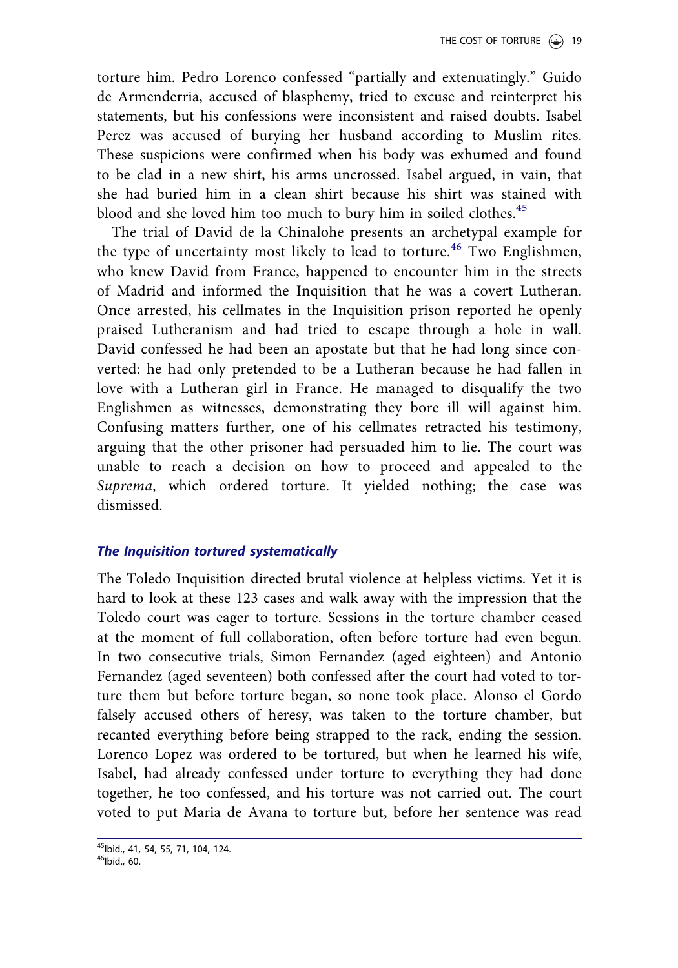torture him. Pedro Lorenco confessed "partially and extenuatingly." Guido de Armenderria, accused of blasphemy, tried to excuse and reinterpret his statements, but his confessions were inconsistent and raised doubts. Isabel Perez was accused of burying her husband according to Muslim rites. These suspicions were confirmed when his body was exhumed and found to be clad in a new shirt, his arms uncrossed. Isabel argued, in vain, that she had buried him in a clean shirt because his shirt was stained with blood and she loved him too much to bury him in soiled clothes.<sup>45</sup>

The trial of David de la Chinalohe presents an archetypal example for the type of uncertainty most likely to lead to torture.<sup>46</sup> Two Englishmen, who knew David from France, happened to encounter him in the streets of Madrid and informed the Inquisition that he was a covert Lutheran. Once arrested, his cellmates in the Inquisition prison reported he openly praised Lutheranism and had tried to escape through a hole in wall. David confessed he had been an apostate but that he had long since converted: he had only pretended to be a Lutheran because he had fallen in love with a Lutheran girl in France. He managed to disqualify the two Englishmen as witnesses, demonstrating they bore ill will against him. Confusing matters further, one of his cellmates retracted his testimony, arguing that the other prisoner had persuaded him to lie. The court was unable to reach a decision on how to proceed and appealed to the Suprema, which ordered torture. It yielded nothing; the case was dismissed.

#### The Inquisition tortured systematically

The Toledo Inquisition directed brutal violence at helpless victims. Yet it is hard to look at these 123 cases and walk away with the impression that the Toledo court was eager to torture. Sessions in the torture chamber ceased at the moment of full collaboration, often before torture had even begun. In two consecutive trials, Simon Fernandez (aged eighteen) and Antonio Fernandez (aged seventeen) both confessed after the court had voted to torture them but before torture began, so none took place. Alonso el Gordo falsely accused others of heresy, was taken to the torture chamber, but recanted everything before being strapped to the rack, ending the session. Lorenco Lopez was ordered to be tortured, but when he learned his wife, Isabel, had already confessed under torture to everything they had done together, he too confessed, and his torture was not carried out. The court voted to put Maria de Avana to torture but, before her sentence was read

<sup>45</sup>Ibid., 41, 54, 55, 71, 104, 124.

 $46$ Ibid., 60.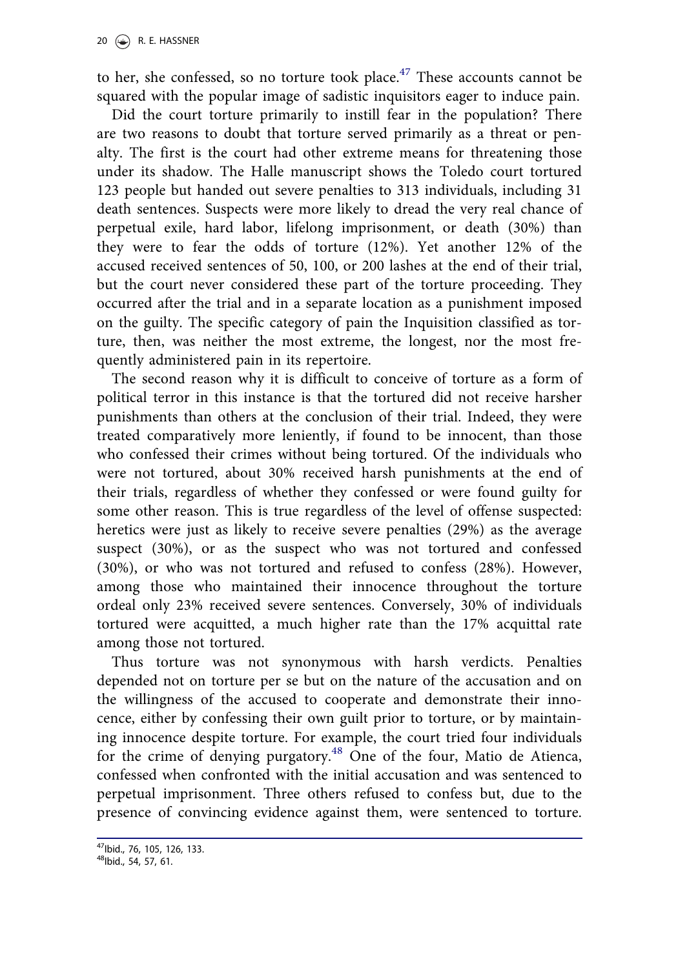to her, she confessed, so no torture took place.<sup>47</sup> These accounts cannot be squared with the popular image of sadistic inquisitors eager to induce pain.

Did the court torture primarily to instill fear in the population? There are two reasons to doubt that torture served primarily as a threat or penalty. The first is the court had other extreme means for threatening those under its shadow. The Halle manuscript shows the Toledo court tortured 123 people but handed out severe penalties to 313 individuals, including 31 death sentences. Suspects were more likely to dread the very real chance of perpetual exile, hard labor, lifelong imprisonment, or death (30%) than they were to fear the odds of torture (12%). Yet another 12% of the accused received sentences of 50, 100, or 200 lashes at the end of their trial, but the court never considered these part of the torture proceeding. They occurred after the trial and in a separate location as a punishment imposed on the guilty. The specific category of pain the Inquisition classified as torture, then, was neither the most extreme, the longest, nor the most frequently administered pain in its repertoire.

The second reason why it is difficult to conceive of torture as a form of political terror in this instance is that the tortured did not receive harsher punishments than others at the conclusion of their trial. Indeed, they were treated comparatively more leniently, if found to be innocent, than those who confessed their crimes without being tortured. Of the individuals who were not tortured, about 30% received harsh punishments at the end of their trials, regardless of whether they confessed or were found guilty for some other reason. This is true regardless of the level of offense suspected: heretics were just as likely to receive severe penalties (29%) as the average suspect (30%), or as the suspect who was not tortured and confessed (30%), or who was not tortured and refused to confess (28%). However, among those who maintained their innocence throughout the torture ordeal only 23% received severe sentences. Conversely, 30% of individuals tortured were acquitted, a much higher rate than the 17% acquittal rate among those not tortured.

Thus torture was not synonymous with harsh verdicts. Penalties depended not on torture per se but on the nature of the accusation and on the willingness of the accused to cooperate and demonstrate their innocence, either by confessing their own guilt prior to torture, or by maintaining innocence despite torture. For example, the court tried four individuals for the crime of denying purgatory.<sup>48</sup> One of the four, Matio de Atienca, confessed when confronted with the initial accusation and was sentenced to perpetual imprisonment. Three others refused to confess but, due to the presence of convincing evidence against them, were sentenced to torture.

<sup>47</sup>Ibid., 76, 105, 126, 133.

<sup>48</sup>Ibid., 54, 57, 61.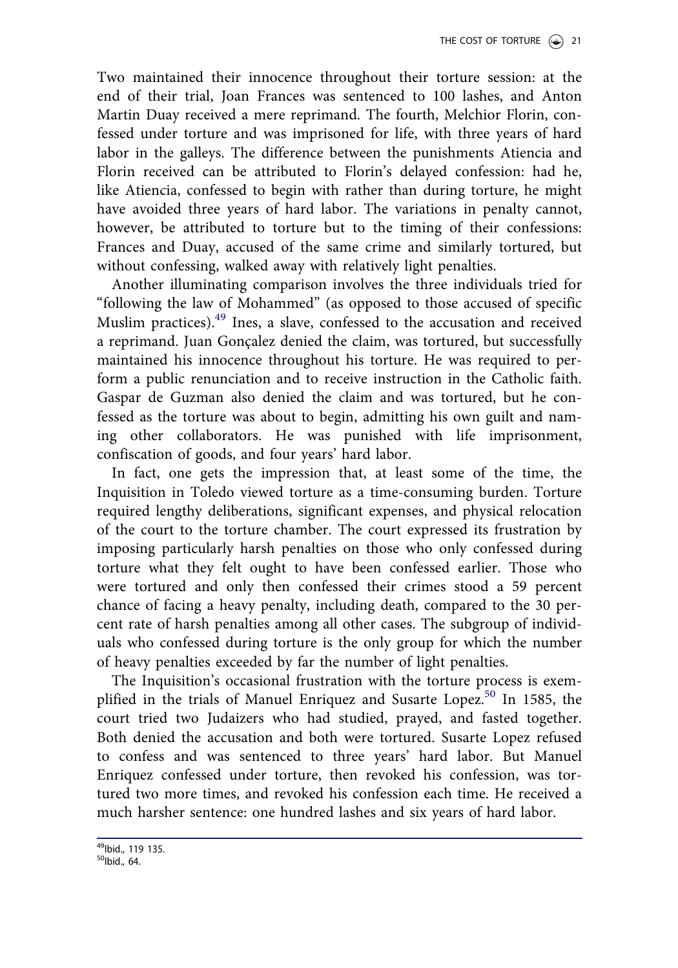Two maintained their innocence throughout their torture session: at the end of their trial, Joan Frances was sentenced to 100 lashes, and Anton Martin Duay received a mere reprimand. The fourth, Melchior Florin, confessed under torture and was imprisoned for life, with three years of hard labor in the galleys. The difference between the punishments Atiencia and Florin received can be attributed to Florin's delayed confession: had he, like Atiencia, confessed to begin with rather than during torture, he might have avoided three years of hard labor. The variations in penalty cannot, however, be attributed to torture but to the timing of their confessions: Frances and Duay, accused of the same crime and similarly tortured, but without confessing, walked away with relatively light penalties.

Another illuminating comparison involves the three individuals tried for "following the law of Mohammed" (as opposed to those accused of specific Muslim practices).<sup>49</sup> Ines, a slave, confessed to the accusation and received a reprimand. Juan Gonçalez denied the claim, was tortured, but successfully maintained his innocence throughout his torture. He was required to perform a public renunciation and to receive instruction in the Catholic faith. Gaspar de Guzman also denied the claim and was tortured, but he confessed as the torture was about to begin, admitting his own guilt and naming other collaborators. He was punished with life imprisonment, confiscation of goods, and four years' hard labor.

In fact, one gets the impression that, at least some of the time, the Inquisition in Toledo viewed torture as a time-consuming burden. Torture required lengthy deliberations, significant expenses, and physical relocation of the court to the torture chamber. The court expressed its frustration by imposing particularly harsh penalties on those who only confessed during torture what they felt ought to have been confessed earlier. Those who were tortured and only then confessed their crimes stood a 59 percent chance of facing a heavy penalty, including death, compared to the 30 percent rate of harsh penalties among all other cases. The subgroup of individuals who confessed during torture is the only group for which the number of heavy penalties exceeded by far the number of light penalties.

The Inquisition's occasional frustration with the torture process is exemplified in the trials of Manuel Enriquez and Susarte Lopez.<sup>50</sup> In 1585, the court tried two Judaizers who had studied, prayed, and fasted together. Both denied the accusation and both were tortured. Susarte Lopez refused to confess and was sentenced to three years' hard labor. But Manuel Enriquez confessed under torture, then revoked his confession, was tortured two more times, and revoked his confession each time. He received a much harsher sentence: one hundred lashes and six years of hard labor.

<sup>49</sup>Ibid., 119 135.

 $50$ <sub>ibid., 64.</sub>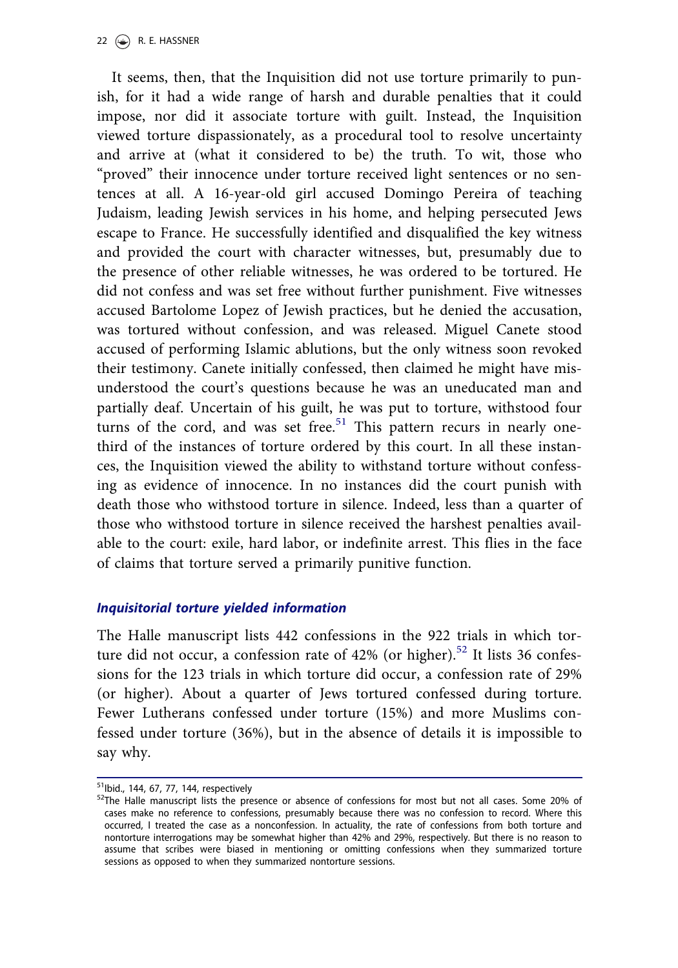It seems, then, that the Inquisition did not use torture primarily to punish, for it had a wide range of harsh and durable penalties that it could impose, nor did it associate torture with guilt. Instead, the Inquisition viewed torture dispassionately, as a procedural tool to resolve uncertainty and arrive at (what it considered to be) the truth. To wit, those who "proved" their innocence under torture received light sentences or no sentences at all. A 16-year-old girl accused Domingo Pereira of teaching Judaism, leading Jewish services in his home, and helping persecuted Jews escape to France. He successfully identified and disqualified the key witness and provided the court with character witnesses, but, presumably due to the presence of other reliable witnesses, he was ordered to be tortured. He did not confess and was set free without further punishment. Five witnesses accused Bartolome Lopez of Jewish practices, but he denied the accusation, was tortured without confession, and was released. Miguel Canete stood accused of performing Islamic ablutions, but the only witness soon revoked their testimony. Canete initially confessed, then claimed he might have misunderstood the court's questions because he was an uneducated man and partially deaf. Uncertain of his guilt, he was put to torture, withstood four turns of the cord, and was set free.<sup>51</sup> This pattern recurs in nearly onethird of the instances of torture ordered by this court. In all these instances, the Inquisition viewed the ability to withstand torture without confessing as evidence of innocence. In no instances did the court punish with death those who withstood torture in silence. Indeed, less than a quarter of those who withstood torture in silence received the harshest penalties available to the court: exile, hard labor, or indefinite arrest. This flies in the face of claims that torture served a primarily punitive function.

### Inquisitorial torture yielded information

The Halle manuscript lists 442 confessions in the 922 trials in which torture did not occur, a confession rate of  $42\%$  (or higher).<sup>52</sup> It lists 36 confessions for the 123 trials in which torture did occur, a confession rate of 29% (or higher). About a quarter of Jews tortured confessed during torture. Fewer Lutherans confessed under torture (15%) and more Muslims confessed under torture (36%), but in the absence of details it is impossible to say why.

 $51$ Ibid., 144, 67, 77, 144, respectively

<sup>&</sup>lt;sup>52</sup>The Halle manuscript lists the presence or absence of confessions for most but not all cases. Some 20% of cases make no reference to confessions, presumably because there was no confession to record. Where this occurred, I treated the case as a nonconfession. In actuality, the rate of confessions from both torture and nontorture interrogations may be somewhat higher than 42% and 29%, respectively. But there is no reason to assume that scribes were biased in mentioning or omitting confessions when they summarized torture sessions as opposed to when they summarized nontorture sessions.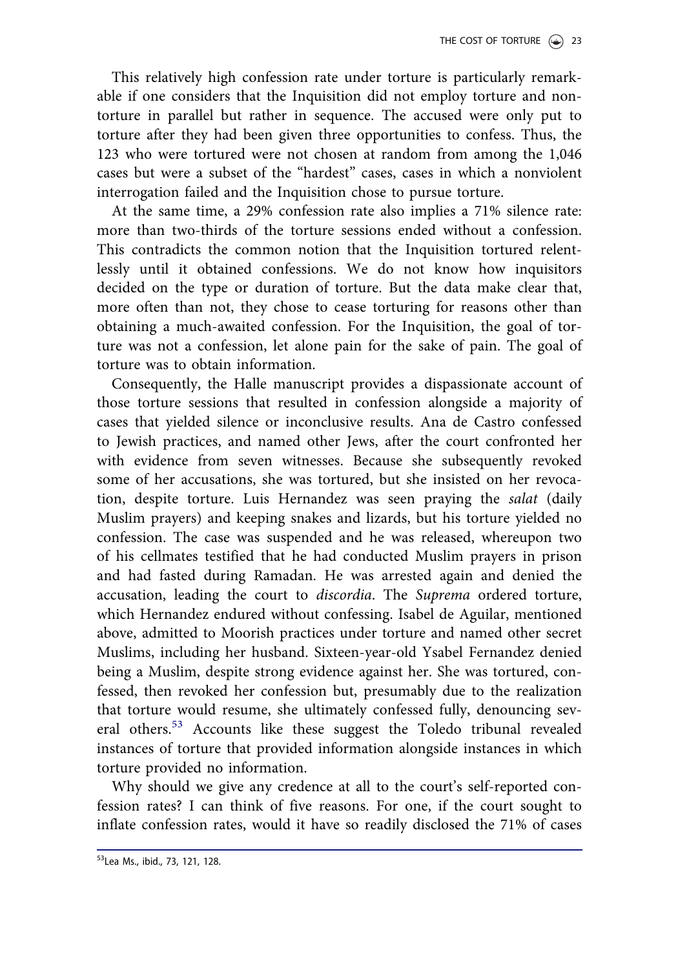This relatively high confession rate under torture is particularly remarkable if one considers that the Inquisition did not employ torture and nontorture in parallel but rather in sequence. The accused were only put to torture after they had been given three opportunities to confess. Thus, the 123 who were tortured were not chosen at random from among the 1,046 cases but were a subset of the "hardest" cases, cases in which a nonviolent interrogation failed and the Inquisition chose to pursue torture.

At the same time, a 29% confession rate also implies a 71% silence rate: more than two-thirds of the torture sessions ended without a confession. This contradicts the common notion that the Inquisition tortured relentlessly until it obtained confessions. We do not know how inquisitors decided on the type or duration of torture. But the data make clear that, more often than not, they chose to cease torturing for reasons other than obtaining a much-awaited confession. For the Inquisition, the goal of torture was not a confession, let alone pain for the sake of pain. The goal of torture was to obtain information.

Consequently, the Halle manuscript provides a dispassionate account of those torture sessions that resulted in confession alongside a majority of cases that yielded silence or inconclusive results. Ana de Castro confessed to Jewish practices, and named other Jews, after the court confronted her with evidence from seven witnesses. Because she subsequently revoked some of her accusations, she was tortured, but she insisted on her revocation, despite torture. Luis Hernandez was seen praying the salat (daily Muslim prayers) and keeping snakes and lizards, but his torture yielded no confession. The case was suspended and he was released, whereupon two of his cellmates testified that he had conducted Muslim prayers in prison and had fasted during Ramadan. He was arrested again and denied the accusation, leading the court to discordia. The Suprema ordered torture, which Hernandez endured without confessing. Isabel de Aguilar, mentioned above, admitted to Moorish practices under torture and named other secret Muslims, including her husband. Sixteen-year-old Ysabel Fernandez denied being a Muslim, despite strong evidence against her. She was tortured, confessed, then revoked her confession but, presumably due to the realization that torture would resume, she ultimately confessed fully, denouncing several others.<sup>53</sup> Accounts like these suggest the Toledo tribunal revealed instances of torture that provided information alongside instances in which torture provided no information.

Why should we give any credence at all to the court's self-reported confession rates? I can think of five reasons. For one, if the court sought to inflate confession rates, would it have so readily disclosed the 71% of cases

<sup>53</sup>Lea Ms., ibid., 73, 121, 128.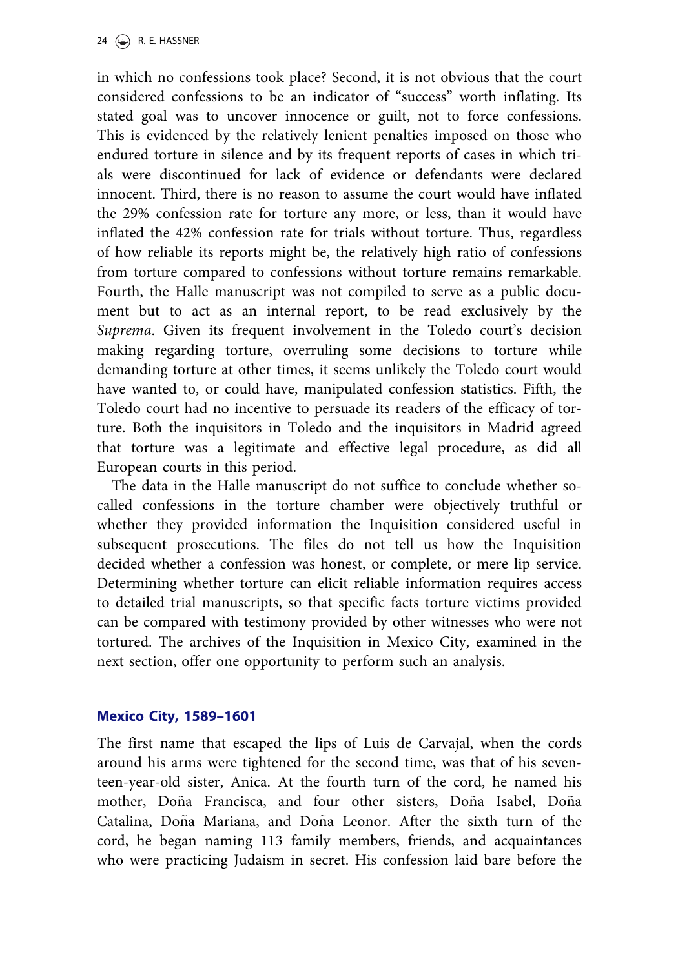in which no confessions took place? Second, it is not obvious that the court considered confessions to be an indicator of "success" worth inflating. Its stated goal was to uncover innocence or guilt, not to force confessions. This is evidenced by the relatively lenient penalties imposed on those who endured torture in silence and by its frequent reports of cases in which trials were discontinued for lack of evidence or defendants were declared innocent. Third, there is no reason to assume the court would have inflated the 29% confession rate for torture any more, or less, than it would have inflated the 42% confession rate for trials without torture. Thus, regardless of how reliable its reports might be, the relatively high ratio of confessions from torture compared to confessions without torture remains remarkable. Fourth, the Halle manuscript was not compiled to serve as a public document but to act as an internal report, to be read exclusively by the Suprema. Given its frequent involvement in the Toledo court's decision making regarding torture, overruling some decisions to torture while demanding torture at other times, it seems unlikely the Toledo court would have wanted to, or could have, manipulated confession statistics. Fifth, the Toledo court had no incentive to persuade its readers of the efficacy of torture. Both the inquisitors in Toledo and the inquisitors in Madrid agreed that torture was a legitimate and effective legal procedure, as did all European courts in this period.

The data in the Halle manuscript do not suffice to conclude whether socalled confessions in the torture chamber were objectively truthful or whether they provided information the Inquisition considered useful in subsequent prosecutions. The files do not tell us how the Inquisition decided whether a confession was honest, or complete, or mere lip service. Determining whether torture can elicit reliable information requires access to detailed trial manuscripts, so that specific facts torture victims provided can be compared with testimony provided by other witnesses who were not tortured. The archives of the Inquisition in Mexico City, examined in the next section, offer one opportunity to perform such an analysis.

### Mexico City, 1589–1601

The first name that escaped the lips of Luis de Carvajal, when the cords around his arms were tightened for the second time, was that of his seventeen-year-old sister, Anica. At the fourth turn of the cord, he named his mother, Doña Francisca, and four other sisters, Doña Isabel, Doña Catalina, Doña Mariana, and Doña Leonor. After the sixth turn of the cord, he began naming 113 family members, friends, and acquaintances who were practicing Judaism in secret. His confession laid bare before the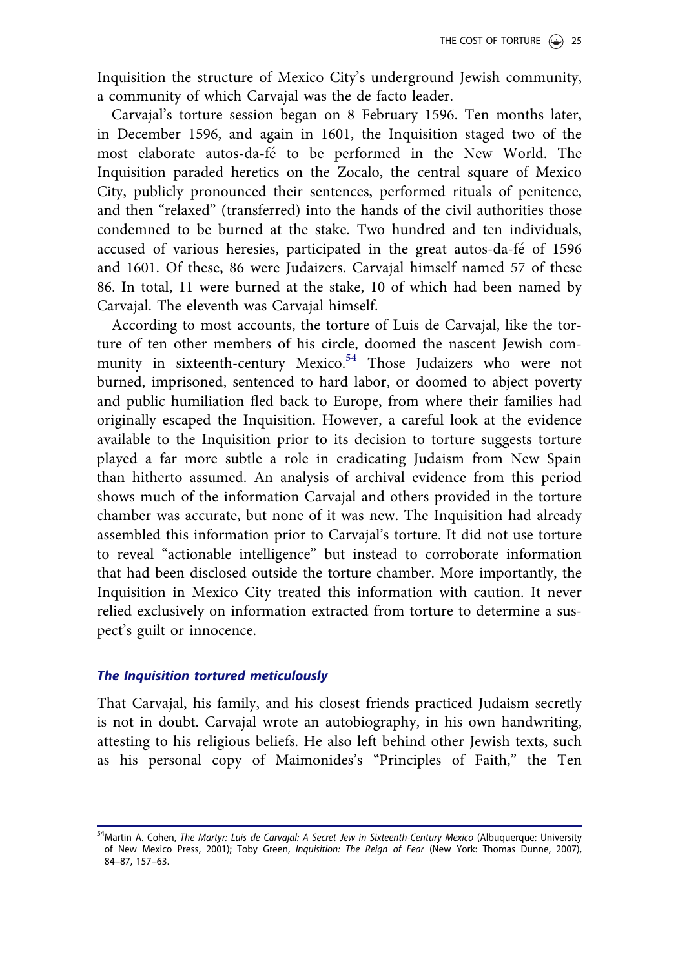Inquisition the structure of Mexico City's underground Jewish community, a community of which Carvajal was the de facto leader.

Carvajal's torture session began on 8 February 1596. Ten months later, in December 1596, and again in 1601, the Inquisition staged two of the most elaborate autos-da-fe to be performed in the New World. The Inquisition paraded heretics on the Zocalo, the central square of Mexico City, publicly pronounced their sentences, performed rituals of penitence, and then "relaxed" (transferred) into the hands of the civil authorities those condemned to be burned at the stake. Two hundred and ten individuals, accused of various heresies, participated in the great autos-da-fe of 1596 and 1601. Of these, 86 were Judaizers. Carvajal himself named 57 of these 86. In total, 11 were burned at the stake, 10 of which had been named by Carvajal. The eleventh was Carvajal himself.

According to most accounts, the torture of Luis de Carvajal, like the torture of ten other members of his circle, doomed the nascent Jewish community in sixteenth-century Mexico.<sup>54</sup> Those Judaizers who were not burned, imprisoned, sentenced to hard labor, or doomed to abject poverty and public humiliation fled back to Europe, from where their families had originally escaped the Inquisition. However, a careful look at the evidence available to the Inquisition prior to its decision to torture suggests torture played a far more subtle a role in eradicating Judaism from New Spain than hitherto assumed. An analysis of archival evidence from this period shows much of the information Carvajal and others provided in the torture chamber was accurate, but none of it was new. The Inquisition had already assembled this information prior to Carvajal's torture. It did not use torture to reveal "actionable intelligence" but instead to corroborate information that had been disclosed outside the torture chamber. More importantly, the Inquisition in Mexico City treated this information with caution. It never relied exclusively on information extracted from torture to determine a suspect's guilt or innocence.

#### The Inquisition tortured meticulously

That Carvajal, his family, and his closest friends practiced Judaism secretly is not in doubt. Carvajal wrote an autobiography, in his own handwriting, attesting to his religious beliefs. He also left behind other Jewish texts, such as his personal copy of Maimonides's "Principles of Faith," the Ten

<sup>&</sup>lt;sup>54</sup>Martin A. Cohen, The Martyr: Luis de Carvajal: A Secret Jew in Sixteenth-Century Mexico (Albuquerque: University of New Mexico Press, 2001); Toby Green, Inquisition: The Reign of Fear (New York: Thomas Dunne, 2007), 84–87, 157–63.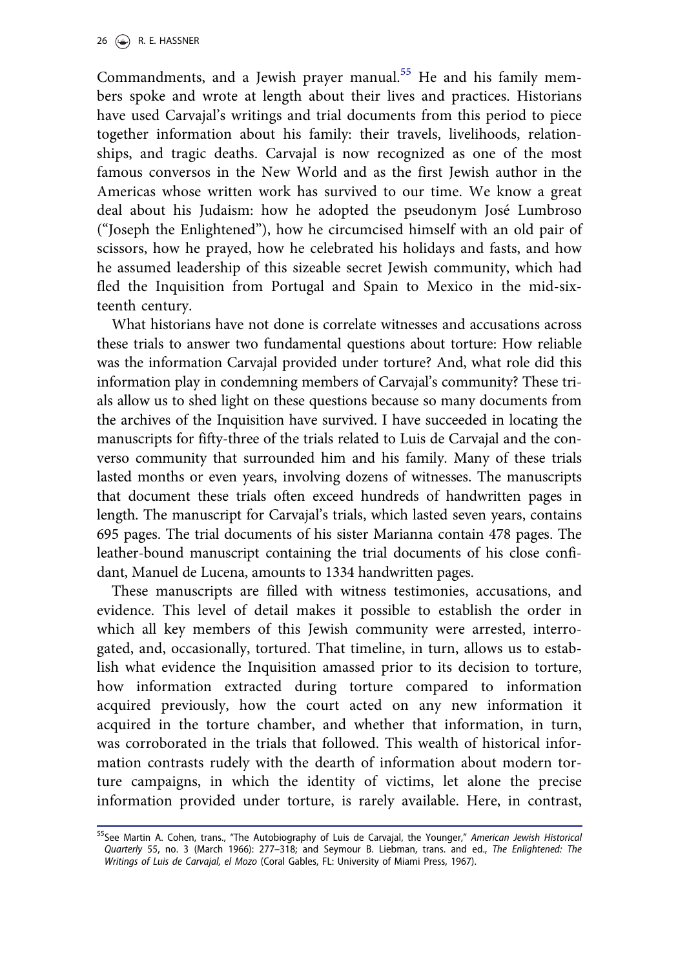Commandments, and a Jewish prayer manual.<sup>55</sup> He and his family members spoke and wrote at length about their lives and practices. Historians have used Carvajal's writings and trial documents from this period to piece together information about his family: their travels, livelihoods, relationships, and tragic deaths. Carvajal is now recognized as one of the most famous conversos in the New World and as the first Jewish author in the Americas whose written work has survived to our time. We know a great deal about his Judaism: how he adopted the pseudonym José Lumbroso ("Joseph the Enlightened"), how he circumcised himself with an old pair of scissors, how he prayed, how he celebrated his holidays and fasts, and how he assumed leadership of this sizeable secret Jewish community, which had fled the Inquisition from Portugal and Spain to Mexico in the mid-sixteenth century.

What historians have not done is correlate witnesses and accusations across these trials to answer two fundamental questions about torture: How reliable was the information Carvajal provided under torture? And, what role did this information play in condemning members of Carvajal's community? These trials allow us to shed light on these questions because so many documents from the archives of the Inquisition have survived. I have succeeded in locating the manuscripts for fifty-three of the trials related to Luis de Carvajal and the converso community that surrounded him and his family. Many of these trials lasted months or even years, involving dozens of witnesses. The manuscripts that document these trials often exceed hundreds of handwritten pages in length. The manuscript for Carvajal's trials, which lasted seven years, contains 695 pages. The trial documents of his sister Marianna contain 478 pages. The leather-bound manuscript containing the trial documents of his close confidant, Manuel de Lucena, amounts to 1334 handwritten pages.

These manuscripts are filled with witness testimonies, accusations, and evidence. This level of detail makes it possible to establish the order in which all key members of this Jewish community were arrested, interrogated, and, occasionally, tortured. That timeline, in turn, allows us to establish what evidence the Inquisition amassed prior to its decision to torture, how information extracted during torture compared to information acquired previously, how the court acted on any new information it acquired in the torture chamber, and whether that information, in turn, was corroborated in the trials that followed. This wealth of historical information contrasts rudely with the dearth of information about modern torture campaigns, in which the identity of victims, let alone the precise information provided under torture, is rarely available. Here, in contrast,

<sup>&</sup>lt;sup>55</sup>See Martin A. Cohen, trans., "The Autobiography of Luis de Carvajal, the Younger," American Jewish Historical Quarterly 55, no. 3 (March 1966): 277–318; and Seymour B. Liebman, trans. and ed., The Enlightened: The Writings of Luis de Carvajal, el Mozo (Coral Gables, FL: University of Miami Press, 1967).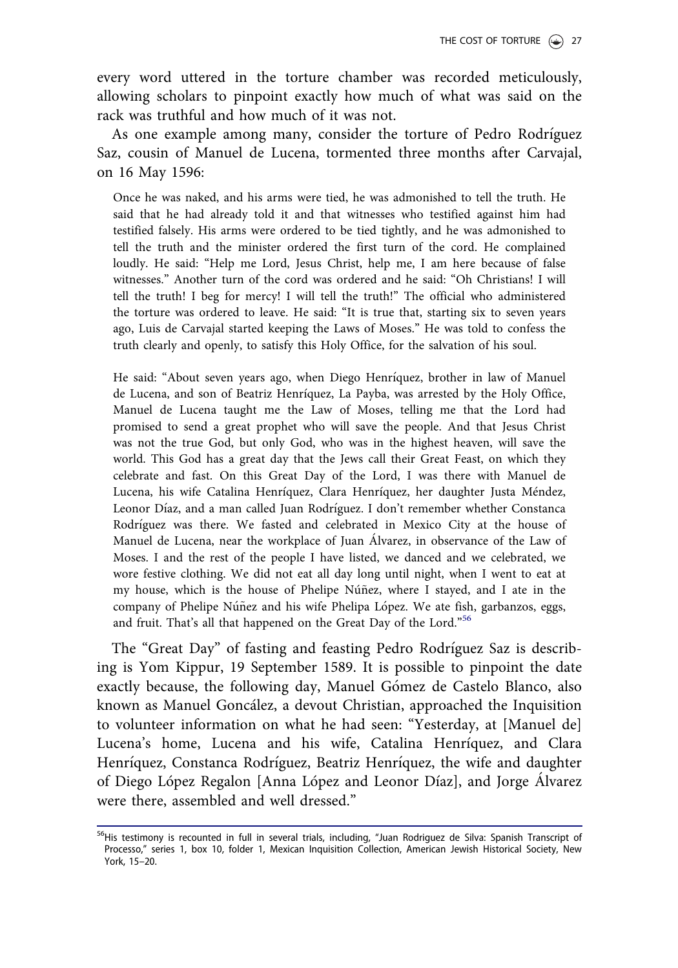every word uttered in the torture chamber was recorded meticulously, allowing scholars to pinpoint exactly how much of what was said on the rack was truthful and how much of it was not.

As one example among many, consider the torture of Pedro Rodríguez Saz, cousin of Manuel de Lucena, tormented three months after Carvajal, on 16 May 1596:

Once he was naked, and his arms were tied, he was admonished to tell the truth. He said that he had already told it and that witnesses who testified against him had testified falsely. His arms were ordered to be tied tightly, and he was admonished to tell the truth and the minister ordered the first turn of the cord. He complained loudly. He said: "Help me Lord, Jesus Christ, help me, I am here because of false witnesses." Another turn of the cord was ordered and he said: "Oh Christians! I will tell the truth! I beg for mercy! I will tell the truth!" The official who administered the torture was ordered to leave. He said: "It is true that, starting six to seven years ago, Luis de Carvajal started keeping the Laws of Moses." He was told to confess the truth clearly and openly, to satisfy this Holy Office, for the salvation of his soul.

He said: "About seven years ago, when Diego Henríquez, brother in law of Manuel de Lucena, and son of Beatriz Henríquez, La Payba, was arrested by the Holy Office, Manuel de Lucena taught me the Law of Moses, telling me that the Lord had promised to send a great prophet who will save the people. And that Jesus Christ was not the true God, but only God, who was in the highest heaven, will save the world. This God has a great day that the Jews call their Great Feast, on which they celebrate and fast. On this Great Day of the Lord, I was there with Manuel de Lucena, his wife Catalina Henríquez, Clara Henríquez, her daughter Justa Méndez, Leonor Díaz, and a man called Juan Rodríguez. I don't remember whether Constanca Rodríguez was there. We fasted and celebrated in Mexico City at the house of Manuel de Lucena, near the workplace of Juan Alvarez, in observance of the Law of Moses. I and the rest of the people I have listed, we danced and we celebrated, we wore festive clothing. We did not eat all day long until night, when I went to eat at my house, which is the house of Phelipe Núñez, where I stayed, and I ate in the company of Phelipe Núñez and his wife Phelipa López. We ate fish, garbanzos, eggs, and fruit. That's all that happened on the Great Day of the Lord."<sup>56</sup>

The "Great Day" of fasting and feasting Pedro Rodríguez Saz is describing is Yom Kippur, 19 September 1589. It is possible to pinpoint the date exactly because, the following day, Manuel Gómez de Castelo Blanco, also known as Manuel Goncalez, a devout Christian, approached the Inquisition to volunteer information on what he had seen: "Yesterday, at [Manuel de] Lucena's home, Lucena and his wife, Catalina Henríquez, and Clara Henríquez, Constanca Rodríguez, Beatriz Henríquez, the wife and daughter of Diego López Regalon [Anna López and Leonor Díaz], and Jorge Alvarez were there, assembled and well dressed."

<sup>&</sup>lt;sup>56</sup>His testimony is recounted in full in several trials, including, "Juan Rodriguez de Silva: Spanish Transcript of Processo," series 1, box 10, folder 1, Mexican Inquisition Collection, American Jewish Historical Society, New York, 15–20.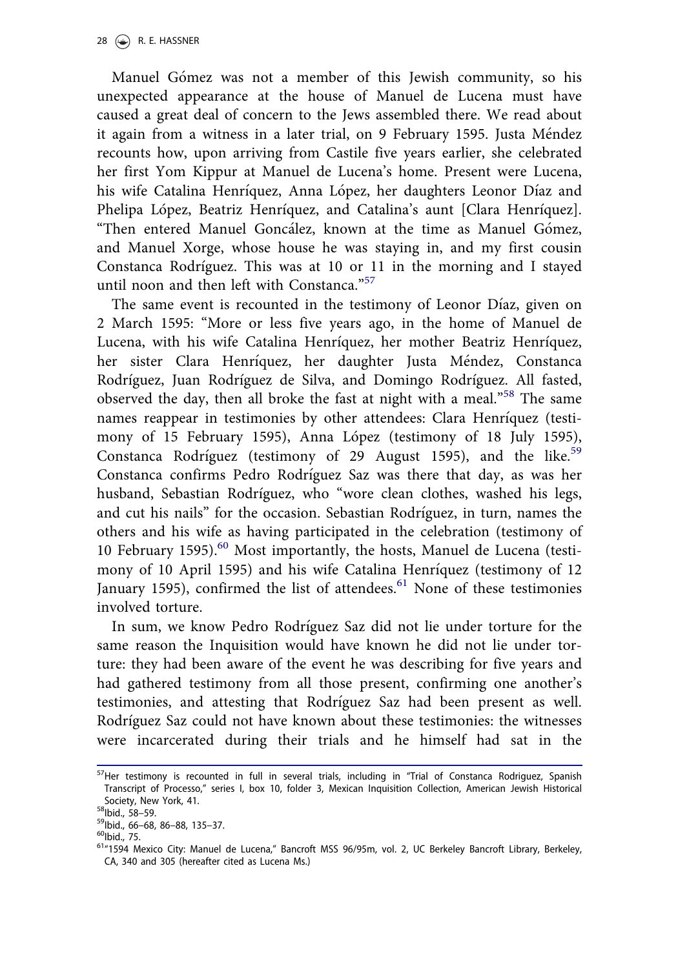Manuel Gómez was not a member of this Jewish community, so his unexpected appearance at the house of Manuel de Lucena must have caused a great deal of concern to the Jews assembled there. We read about it again from a witness in a later trial, on 9 February 1595. Justa Méndez recounts how, upon arriving from Castile five years earlier, she celebrated her first Yom Kippur at Manuel de Lucena's home. Present were Lucena, his wife Catalina Henríquez, Anna López, her daughters Leonor Díaz and Phelipa López, Beatriz Henríquez, and Catalina's aunt [Clara Henríquez]. "Then entered Manuel Goncález, known at the time as Manuel Gómez, and Manuel Xorge, whose house he was staying in, and my first cousin Constanca Rodríguez. This was at 10 or 11 in the morning and I stayed until noon and then left with Constanca." 57

The same event is recounted in the testimony of Leonor Díaz, given on 2 March 1595: "More or less five years ago, in the home of Manuel de Lucena, with his wife Catalina Henríquez, her mother Beatriz Henríquez, her sister Clara Henríquez, her daughter Justa Méndez, Constanca Rodríguez, Juan Rodríguez de Silva, and Domingo Rodríguez. All fasted, observed the day, then all broke the fast at night with a meal."<sup>58</sup> The same names reappear in testimonies by other attendees: Clara Henríquez (testimony of 15 February 1595), Anna López (testimony of 18 July 1595), Constanca Rodríguez (testimony of 29 August 1595), and the like.<sup>59</sup> Constanca confirms Pedro Rodrıguez Saz was there that day, as was her husband, Sebastian Rodríguez, who "wore clean clothes, washed his legs, and cut his nails" for the occasion. Sebastian Rodríguez, in turn, names the others and his wife as having participated in the celebration (testimony of 10 February 1595).<sup>60</sup> Most importantly, the hosts, Manuel de Lucena (testimony of 10 April 1595) and his wife Catalina Henríquez (testimony of 12 January 1595), confirmed the list of attendees. $61$  None of these testimonies involved torture.

In sum, we know Pedro Rodrıguez Saz did not lie under torture for the same reason the Inquisition would have known he did not lie under torture: they had been aware of the event he was describing for five years and had gathered testimony from all those present, confirming one another's testimonies, and attesting that Rodríguez Saz had been present as well. Rodríguez Saz could not have known about these testimonies: the witnesses were incarcerated during their trials and he himself had sat in the

<sup>&</sup>lt;sup>57</sup>Her testimony is recounted in full in several trials, including in "Trial of Constanca Rodriguez, Spanish Transcript of Processo," series I, box 10, folder 3, Mexican Inquisition Collection, American Jewish Historical Society, New York, 41.

<sup>58</sup>Ibid., 58–59.

<sup>59</sup>Ibid., 66–68, 86–88, 135–37.

 $60$ Ibid., 75.

<sup>&</sup>lt;sup>61</sup>"1594 Mexico City: Manuel de Lucena," Bancroft MSS 96/95m, vol. 2, UC Berkeley Bancroft Library, Berkeley, CA, 340 and 305 (hereafter cited as Lucena Ms.)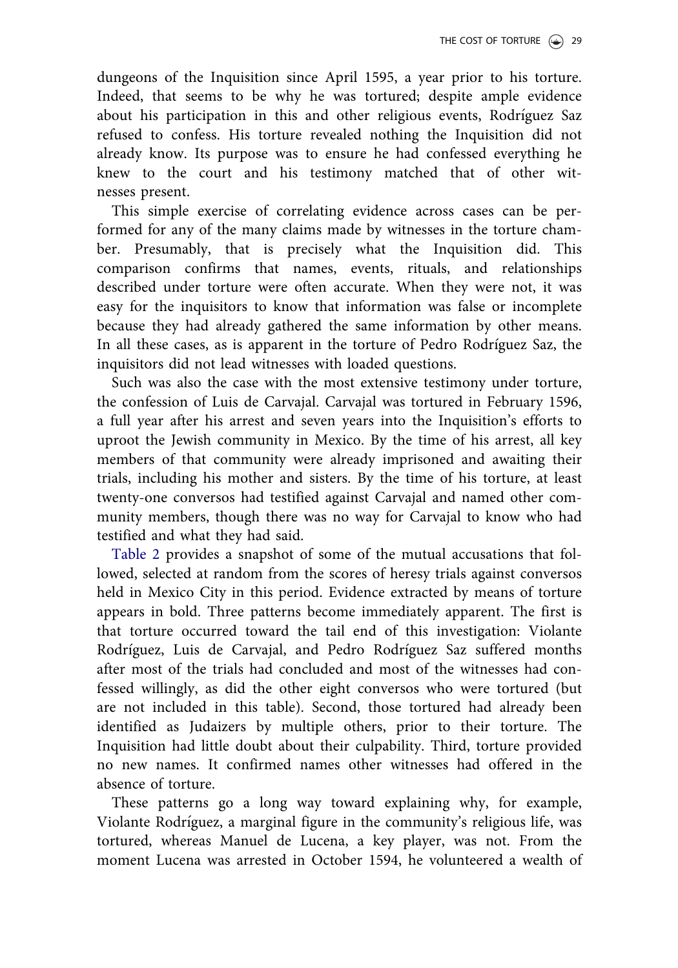dungeons of the Inquisition since April 1595, a year prior to his torture. Indeed, that seems to be why he was tortured; despite ample evidence about his participation in this and other religious events, Rodríguez Saz refused to confess. His torture revealed nothing the Inquisition did not already know. Its purpose was to ensure he had confessed everything he knew to the court and his testimony matched that of other witnesses present.

This simple exercise of correlating evidence across cases can be performed for any of the many claims made by witnesses in the torture chamber. Presumably, that is precisely what the Inquisition did. This comparison confirms that names, events, rituals, and relationships described under torture were often accurate. When they were not, it was easy for the inquisitors to know that information was false or incomplete because they had already gathered the same information by other means. In all these cases, as is apparent in the torture of Pedro Rodrıguez Saz, the inquisitors did not lead witnesses with loaded questions.

Such was also the case with the most extensive testimony under torture, the confession of Luis de Carvajal. Carvajal was tortured in February 1596, a full year after his arrest and seven years into the Inquisition's efforts to uproot the Jewish community in Mexico. By the time of his arrest, all key members of that community were already imprisoned and awaiting their trials, including his mother and sisters. By the time of his torture, at least twenty-one conversos had testified against Carvajal and named other community members, though there was no way for Carvajal to know who had testified and what they had said.

Table 2 provides a snapshot of some of the mutual accusations that followed, selected at random from the scores of heresy trials against conversos held in Mexico City in this period. Evidence extracted by means of torture appears in bold. Three patterns become immediately apparent. The first is that torture occurred toward the tail end of this investigation: Violante Rodríguez, Luis de Carvajal, and Pedro Rodríguez Saz suffered months after most of the trials had concluded and most of the witnesses had confessed willingly, as did the other eight conversos who were tortured (but are not included in this table). Second, those tortured had already been identified as Judaizers by multiple others, prior to their torture. The Inquisition had little doubt about their culpability. Third, torture provided no new names. It confirmed names other witnesses had offered in the absence of torture.

These patterns go a long way toward explaining why, for example, Violante Rodríguez, a marginal figure in the community's religious life, was tortured, whereas Manuel de Lucena, a key player, was not. From the moment Lucena was arrested in October 1594, he volunteered a wealth of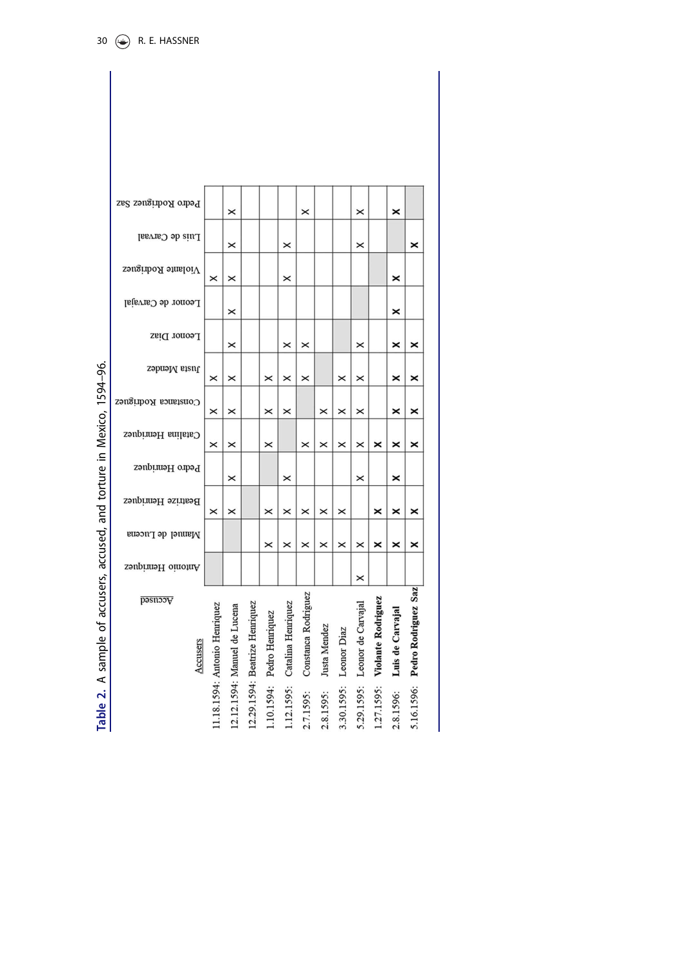| Pedro Rodriguez Saz |                               | $\times$                     |                                |                            |                               | ×                   |              |                        | $\times$                      |                    | ×                |                                |
|---------------------|-------------------------------|------------------------------|--------------------------------|----------------------------|-------------------------------|---------------------|--------------|------------------------|-------------------------------|--------------------|------------------|--------------------------------|
| Luis de Carvaal     |                               | ×                            |                                |                            | ×                             |                     |              |                        | ×                             |                    |                  | ×                              |
| Violante Rodriguez  | ×                             | ×                            |                                |                            | ×                             |                     |              |                        |                               |                    | ×                |                                |
| Leonor de Carvajal  |                               | ×                            |                                |                            |                               |                     |              |                        |                               |                    | ×                |                                |
| Leonor Diaz         |                               | ×                            |                                |                            | ×                             | ×                   |              |                        | ×                             |                    | ×                | ×                              |
| Justa Mendez        | ×                             | ×                            |                                | ×                          | ×                             | ×                   |              | ×                      | $\times$                      |                    | ×                | ×                              |
| Constanca Rodriguez | ×                             | ×                            |                                | ×                          | ×                             |                     | ×            | ×                      | ×                             |                    | ×                | ×                              |
| Catalina Henriquez  | ×                             | ×                            |                                | ×                          |                               | ×                   | ×            | ×                      | $\times$                      | ×                  | ×                | ×                              |
| Pedro Henriquez     |                               | ×                            |                                |                            | ×                             |                     |              |                        | $\times$                      |                    | ×                |                                |
| Beatrize Henriquez  | ×                             | $\times$                     |                                | ×                          | ×                             | ×                   | ×            | ×                      |                               | ×                  | ×                | ×                              |
| Manuel de Lucena    |                               |                              |                                | ×                          | ×                             | ×                   | ×            | ×                      | $\times$                      | ×                  | ×                | ×                              |
| Antonio Henriquez   |                               |                              |                                |                            |                               |                     |              |                        | $\times$                      |                    |                  |                                |
| pasnooy<br>Accusers | 11.18.1594: Antonio Henriquez | 12.12.1594: Manuel de Lucena | 12.29.1594: Beatrize Henriquez | 1.10.1594: Pedro Henriquez | 1.12.1595: Catalina Henriquez | Constanca Rodriguez | Justa Mendez | 3.30.1595: Leonor Diaz | 5.29.1595: Leonor de Carvajal | Violante Rodriguez | Luis de Carvajal | 5.16.1596: Pedro Rodriguez Saz |
|                     |                               |                              |                                |                            |                               | 2.7.1595:           | 2.8.1595:    |                        |                               | 1.27.1595:         | 2.8.1596:        |                                |

Table 2. A sample of accusers, accused, and torture in Mexico, 1594-96. Table 2. A sample of accusers, accused, and torture in Mexico, 1594–96.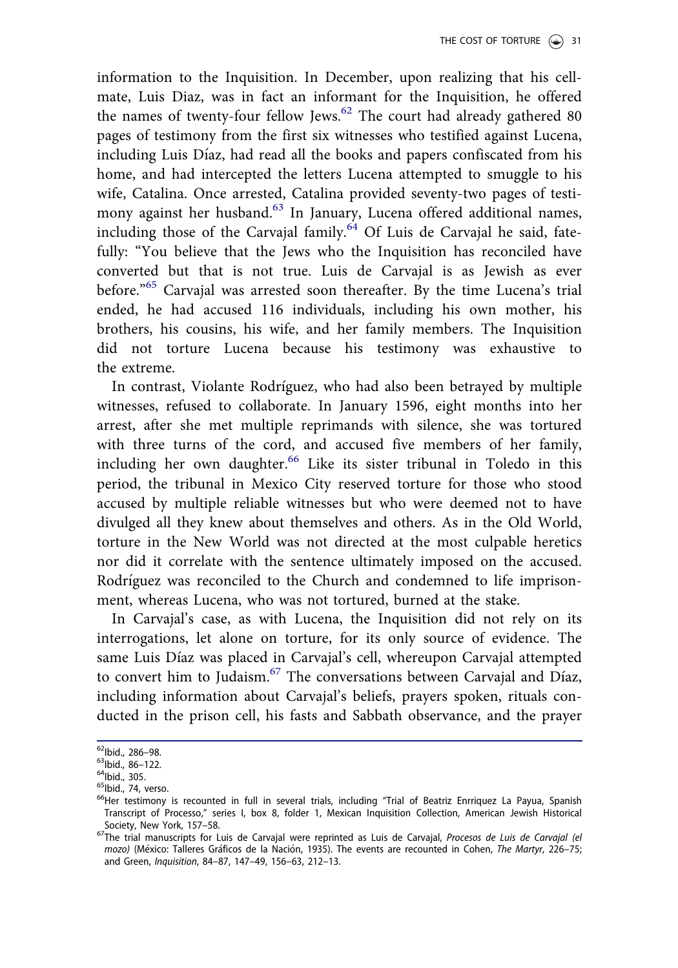information to the Inquisition. In December, upon realizing that his cellmate, Luis Diaz, was in fact an informant for the Inquisition, he offered the names of twenty-four fellow Jews. $62$  The court had already gathered 80 pages of testimony from the first six witnesses who testified against Lucena, including Luis Díaz, had read all the books and papers confiscated from his home, and had intercepted the letters Lucena attempted to smuggle to his wife, Catalina. Once arrested, Catalina provided seventy-two pages of testimony against her husband.<sup>63</sup> In January, Lucena offered additional names, including those of the Carvajal family. $64$  Of Luis de Carvajal he said, fatefully: "You believe that the Jews who the Inquisition has reconciled have converted but that is not true. Luis de Carvajal is as Jewish as ever before."<sup>65</sup> Carvajal was arrested soon thereafter. By the time Lucena's trial ended, he had accused 116 individuals, including his own mother, his brothers, his cousins, his wife, and her family members. The Inquisition did not torture Lucena because his testimony was exhaustive to the extreme.

In contrast, Violante Rodrıguez, who had also been betrayed by multiple witnesses, refused to collaborate. In January 1596, eight months into her arrest, after she met multiple reprimands with silence, she was tortured with three turns of the cord, and accused five members of her family, including her own daughter.<sup>66</sup> Like its sister tribunal in Toledo in this period, the tribunal in Mexico City reserved torture for those who stood accused by multiple reliable witnesses but who were deemed not to have divulged all they knew about themselves and others. As in the Old World, torture in the New World was not directed at the most culpable heretics nor did it correlate with the sentence ultimately imposed on the accused. Rodríguez was reconciled to the Church and condemned to life imprisonment, whereas Lucena, who was not tortured, burned at the stake.

In Carvajal's case, as with Lucena, the Inquisition did not rely on its interrogations, let alone on torture, for its only source of evidence. The same Luis Díaz was placed in Carvajal's cell, whereupon Carvajal attempted to convert him to Judaism.<sup>67</sup> The conversations between Carvajal and Díaz, including information about Carvajal's beliefs, prayers spoken, rituals conducted in the prison cell, his fasts and Sabbath observance, and the prayer

<sup>62</sup>Ibid., 286–98.

<sup>63</sup>Ibid., 86–122.

 $64$ Ibid., 305.

<sup>&</sup>lt;sup>65</sup>Ibid., 74, verso.

<sup>&</sup>lt;sup>66</sup>Her testimony is recounted in full in several trials, including "Trial of Beatriz Enrriquez La Payua, Spanish Transcript of Processo," series I, box 8, folder 1, Mexican Inquisition Collection, American Jewish Historical Society, New York, 157–58.

<sup>67</sup>The trial manuscripts for Luis de Carvajal were reprinted as Luis de Carvajal, Procesos de Luis de Carvajal (el mozo) (México: Talleres Gráficos de la Nación, 1935). The events are recounted in Cohen, The Martyr, 226-75; and Green, Inquisition, 84–87, 147–49, 156–63, 212–13.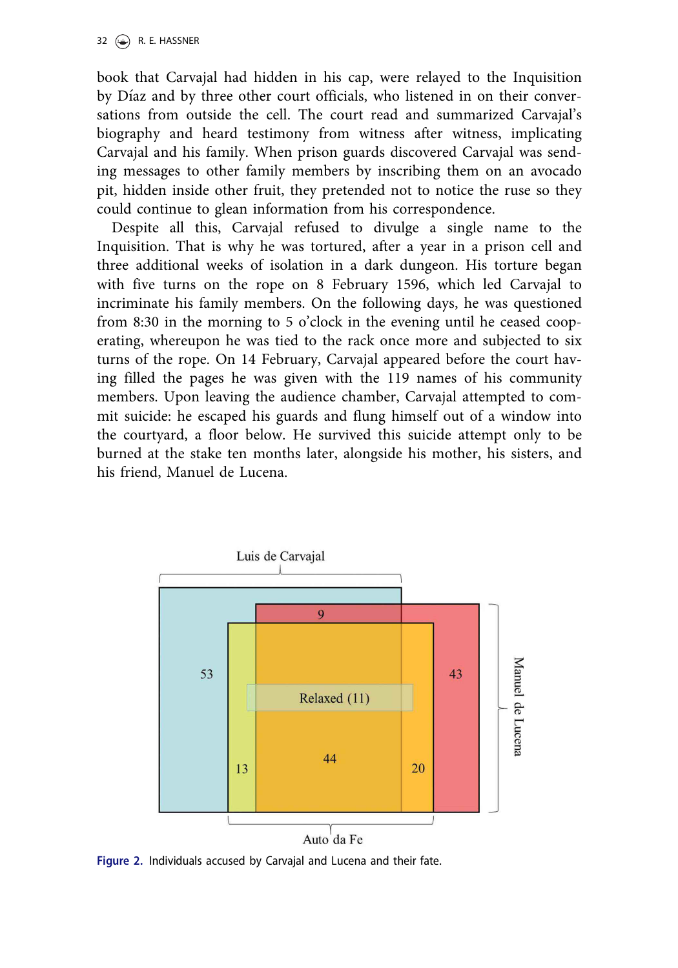book that Carvajal had hidden in his cap, were relayed to the Inquisition by Díaz and by three other court officials, who listened in on their conversations from outside the cell. The court read and summarized Carvajal's biography and heard testimony from witness after witness, implicating Carvajal and his family. When prison guards discovered Carvajal was sending messages to other family members by inscribing them on an avocado pit, hidden inside other fruit, they pretended not to notice the ruse so they could continue to glean information from his correspondence.

Despite all this, Carvajal refused to divulge a single name to the Inquisition. That is why he was tortured, after a year in a prison cell and three additional weeks of isolation in a dark dungeon. His torture began with five turns on the rope on 8 February 1596, which led Carvajal to incriminate his family members. On the following days, he was questioned from 8:30 in the morning to 5 o'clock in the evening until he ceased cooperating, whereupon he was tied to the rack once more and subjected to six turns of the rope. On 14 February, Carvajal appeared before the court having filled the pages he was given with the 119 names of his community members. Upon leaving the audience chamber, Carvajal attempted to commit suicide: he escaped his guards and flung himself out of a window into the courtyard, a floor below. He survived this suicide attempt only to be burned at the stake ten months later, alongside his mother, his sisters, and his friend, Manuel de Lucena.



Figure 2. Individuals accused by Carvajal and Lucena and their fate.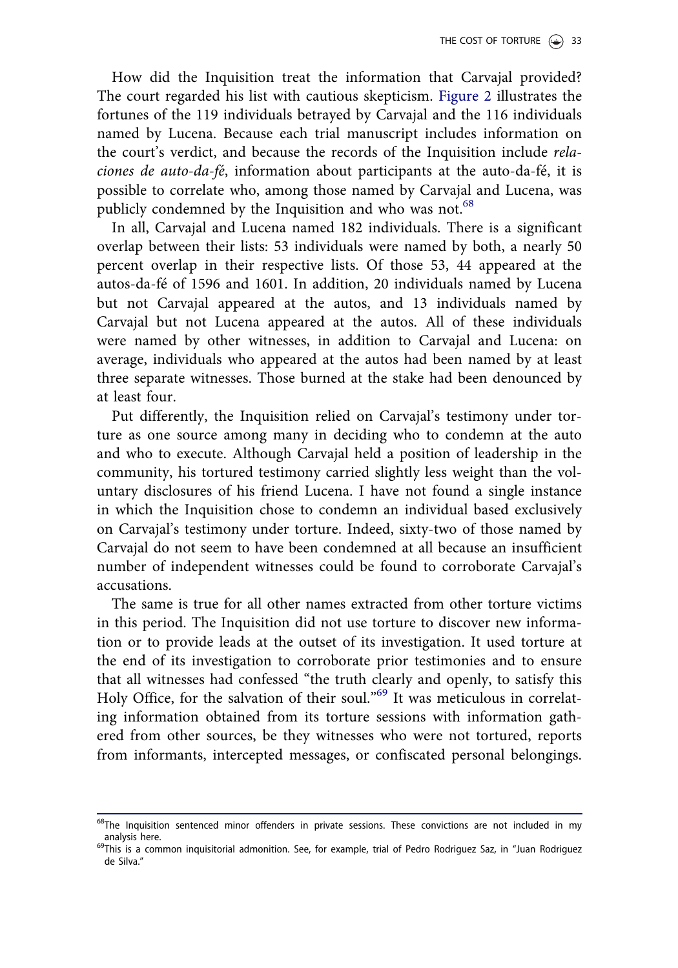How did the Inquisition treat the information that Carvajal provided? The court regarded his list with cautious skepticism. Figure 2 illustrates the fortunes of the 119 individuals betrayed by Carvajal and the 116 individuals named by Lucena. Because each trial manuscript includes information on the court's verdict, and because the records of the Inquisition include relaciones de auto-da-fe, information about participants at the auto-da-fe, it is possible to correlate who, among those named by Carvajal and Lucena, was publicly condemned by the Inquisition and who was not.<sup>68</sup>

In all, Carvajal and Lucena named 182 individuals. There is a significant overlap between their lists: 53 individuals were named by both, a nearly 50 percent overlap in their respective lists. Of those 53, 44 appeared at the autos-da-fe of 1596 and 1601. In addition, 20 individuals named by Lucena but not Carvajal appeared at the autos, and 13 individuals named by Carvajal but not Lucena appeared at the autos. All of these individuals were named by other witnesses, in addition to Carvajal and Lucena: on average, individuals who appeared at the autos had been named by at least three separate witnesses. Those burned at the stake had been denounced by at least four.

Put differently, the Inquisition relied on Carvajal's testimony under torture as one source among many in deciding who to condemn at the auto and who to execute. Although Carvajal held a position of leadership in the community, his tortured testimony carried slightly less weight than the voluntary disclosures of his friend Lucena. I have not found a single instance in which the Inquisition chose to condemn an individual based exclusively on Carvajal's testimony under torture. Indeed, sixty-two of those named by Carvajal do not seem to have been condemned at all because an insufficient number of independent witnesses could be found to corroborate Carvajal's accusations.

The same is true for all other names extracted from other torture victims in this period. The Inquisition did not use torture to discover new information or to provide leads at the outset of its investigation. It used torture at the end of its investigation to corroborate prior testimonies and to ensure that all witnesses had confessed "the truth clearly and openly, to satisfy this Holy Office, for the salvation of their soul."<sup>69</sup> It was meticulous in correlating information obtained from its torture sessions with information gathered from other sources, be they witnesses who were not tortured, reports from informants, intercepted messages, or confiscated personal belongings.

<sup>&</sup>lt;sup>68</sup>The Inquisition sentenced minor offenders in private sessions. These convictions are not included in my analysis here.

<sup>69</sup>This is a common inquisitorial admonition. See, for example, trial of Pedro Rodriguez Saz, in "Juan Rodriguez de Silva."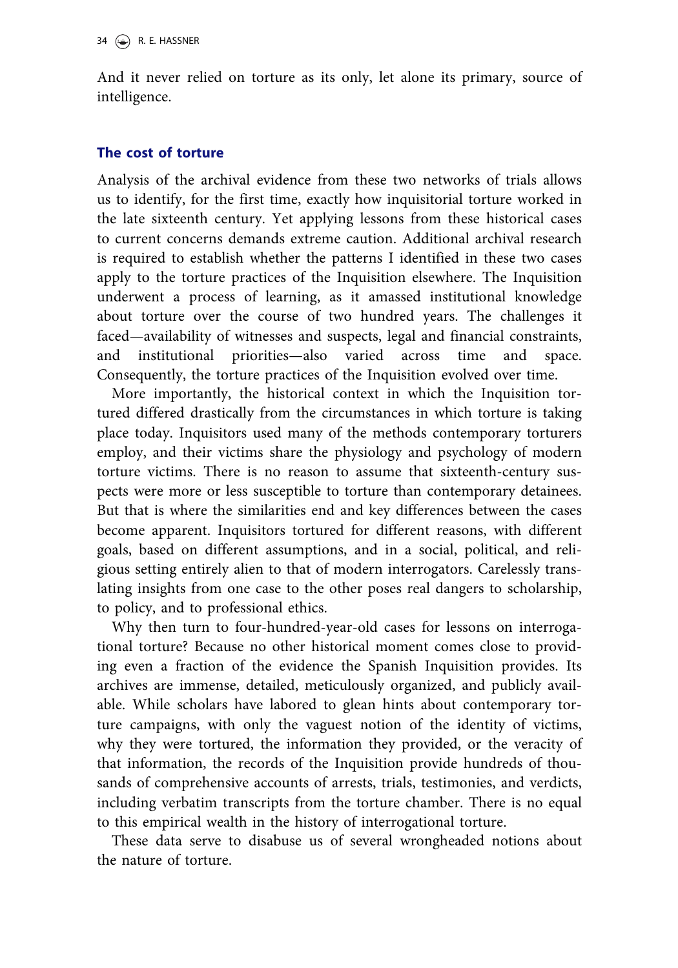And it never relied on torture as its only, let alone its primary, source of intelligence.

### The cost of torture

Analysis of the archival evidence from these two networks of trials allows us to identify, for the first time, exactly how inquisitorial torture worked in the late sixteenth century. Yet applying lessons from these historical cases to current concerns demands extreme caution. Additional archival research is required to establish whether the patterns I identified in these two cases apply to the torture practices of the Inquisition elsewhere. The Inquisition underwent a process of learning, as it amassed institutional knowledge about torture over the course of two hundred years. The challenges it faced—availability of witnesses and suspects, legal and financial constraints, and institutional priorities—also varied across time and space. Consequently, the torture practices of the Inquisition evolved over time.

More importantly, the historical context in which the Inquisition tortured differed drastically from the circumstances in which torture is taking place today. Inquisitors used many of the methods contemporary torturers employ, and their victims share the physiology and psychology of modern torture victims. There is no reason to assume that sixteenth-century suspects were more or less susceptible to torture than contemporary detainees. But that is where the similarities end and key differences between the cases become apparent. Inquisitors tortured for different reasons, with different goals, based on different assumptions, and in a social, political, and religious setting entirely alien to that of modern interrogators. Carelessly translating insights from one case to the other poses real dangers to scholarship, to policy, and to professional ethics.

Why then turn to four-hundred-year-old cases for lessons on interrogational torture? Because no other historical moment comes close to providing even a fraction of the evidence the Spanish Inquisition provides. Its archives are immense, detailed, meticulously organized, and publicly available. While scholars have labored to glean hints about contemporary torture campaigns, with only the vaguest notion of the identity of victims, why they were tortured, the information they provided, or the veracity of that information, the records of the Inquisition provide hundreds of thousands of comprehensive accounts of arrests, trials, testimonies, and verdicts, including verbatim transcripts from the torture chamber. There is no equal to this empirical wealth in the history of interrogational torture.

These data serve to disabuse us of several wrongheaded notions about the nature of torture.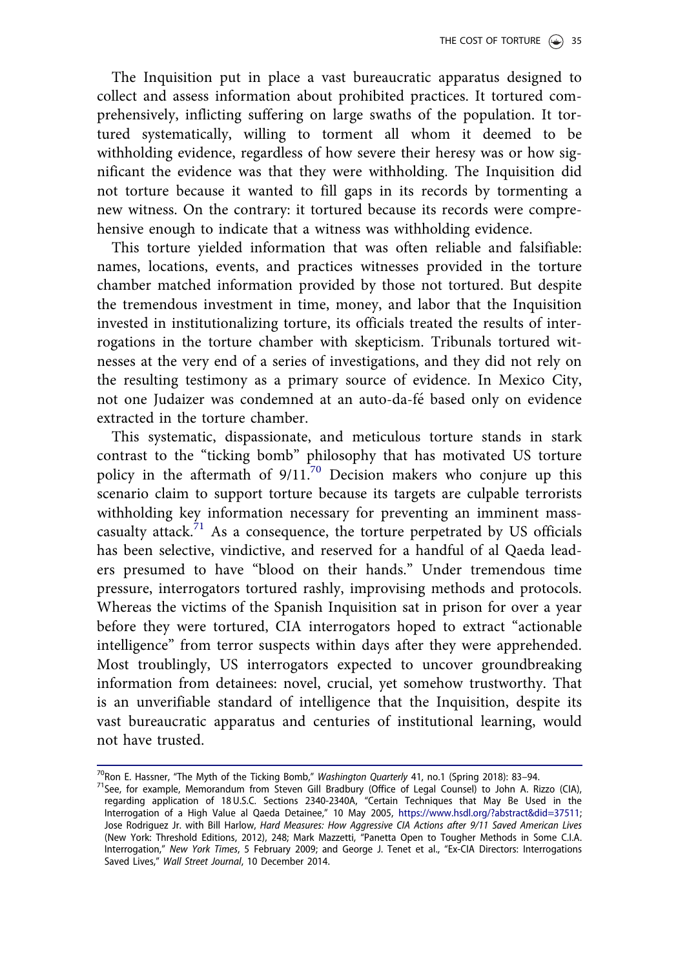The Inquisition put in place a vast bureaucratic apparatus designed to collect and assess information about prohibited practices. It tortured comprehensively, inflicting suffering on large swaths of the population. It tortured systematically, willing to torment all whom it deemed to be withholding evidence, regardless of how severe their heresy was or how significant the evidence was that they were withholding. The Inquisition did not torture because it wanted to fill gaps in its records by tormenting a new witness. On the contrary: it tortured because its records were comprehensive enough to indicate that a witness was withholding evidence.

This torture yielded information that was often reliable and falsifiable: names, locations, events, and practices witnesses provided in the torture chamber matched information provided by those not tortured. But despite the tremendous investment in time, money, and labor that the Inquisition invested in institutionalizing torture, its officials treated the results of interrogations in the torture chamber with skepticism. Tribunals tortured witnesses at the very end of a series of investigations, and they did not rely on the resulting testimony as a primary source of evidence. In Mexico City, not one Judaizer was condemned at an auto-da-fé based only on evidence extracted in the torture chamber.

This systematic, dispassionate, and meticulous torture stands in stark contrast to the "ticking bomb" philosophy that has motivated US torture policy in the aftermath of  $9/11$ .<sup>70</sup> Decision makers who conjure up this scenario claim to support torture because its targets are culpable terrorists withholding key information necessary for preventing an imminent masscasualty attack.<sup>71</sup> As a consequence, the torture perpetrated by US officials has been selective, vindictive, and reserved for a handful of al Qaeda leaders presumed to have "blood on their hands." Under tremendous time pressure, interrogators tortured rashly, improvising methods and protocols. Whereas the victims of the Spanish Inquisition sat in prison for over a year before they were tortured, CIA interrogators hoped to extract "actionable intelligence" from terror suspects within days after they were apprehended. Most troublingly, US interrogators expected to uncover groundbreaking information from detainees: novel, crucial, yet somehow trustworthy. That is an unverifiable standard of intelligence that the Inquisition, despite its vast bureaucratic apparatus and centuries of institutional learning, would not have trusted.

 $^{70}$ Ron E. Hassner, "The Myth of the Ticking Bomb," Washington Quarterly 41, no.1 (Spring 2018): 83–94.

<sup>&</sup>lt;sup>71</sup>See, for example, Memorandum from Steven Gill Bradbury (Office of Legal Counsel) to John A. Rizzo (CIA), regarding application of 18 U.S.C. Sections 2340-2340A, "Certain Techniques that May Be Used in the Interrogation of a High Value al Qaeda Detainee," 10 May 2005, https://www.hsdl.org/?abstract&did=37511; Jose Rodriguez Jr. with Bill Harlow, Hard Measures: How Aggressive CIA Actions after 9/11 Saved American Lives (New York: Threshold Editions, 2012), 248; Mark Mazzetti, "Panetta Open to Tougher Methods in Some C.I.A. Interrogation," New York Times, 5 February 2009; and George J. Tenet et al., "Ex-CIA Directors: Interrogations Saved Lives," Wall Street Journal, 10 December 2014.